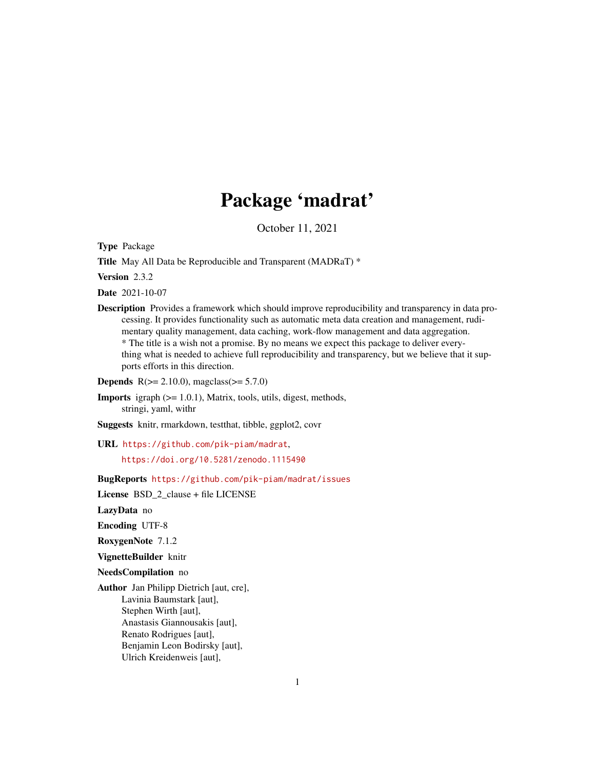# Package 'madrat'

October 11, 2021

<span id="page-0-0"></span>Type Package

Title May All Data be Reproducible and Transparent (MADRaT) \*

Version 2.3.2

Date 2021-10-07

Description Provides a framework which should improve reproducibility and transparency in data processing. It provides functionality such as automatic meta data creation and management, rudimentary quality management, data caching, work-flow management and data aggregation. \* The title is a wish not a promise. By no means we expect this package to deliver everything what is needed to achieve full reproducibility and transparency, but we believe that it supports efforts in this direction.

**Depends**  $R$ ( $>= 2.10.0$ ), magclass( $>= 5.7.0$ )

Imports igraph (>= 1.0.1), Matrix, tools, utils, digest, methods, stringi, yaml, withr

Suggests knitr, rmarkdown, testthat, tibble, ggplot2, covr

URL <https://github.com/pik-piam/madrat>, <https://doi.org/10.5281/zenodo.1115490>

BugReports <https://github.com/pik-piam/madrat/issues>

License BSD 2 clause + file LICENSE

LazyData no

Encoding UTF-8

RoxygenNote 7.1.2

VignetteBuilder knitr

NeedsCompilation no

Author Jan Philipp Dietrich [aut, cre], Lavinia Baumstark [aut], Stephen Wirth [aut], Anastasis Giannousakis [aut], Renato Rodrigues [aut], Benjamin Leon Bodirsky [aut], Ulrich Kreidenweis [aut],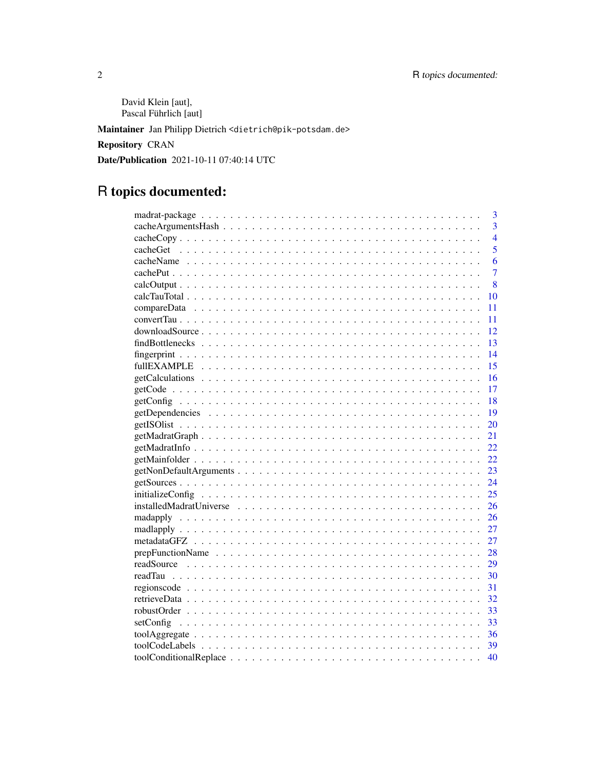David Klein [aut], Pascal Führlich [aut]

Maintainer Jan Philipp Dietrich <dietrich@pik-potsdam.de>

Repository CRAN

Date/Publication 2021-10-11 07:40:14 UTC

# R topics documented:

| 3              |
|----------------|
| $\overline{3}$ |
| $\overline{4}$ |
| 5              |
| 6              |
| $\overline{7}$ |
| 8              |
| 10             |
| 11             |
| 11             |
| 12             |
| 13             |
| 14             |
| 15             |
| 16             |
| 17             |
| 18             |
| 19             |
| 20             |
| 21             |
| 22             |
| 22             |
| 23             |
| 24             |
| 25             |
| 26             |
| 26             |
| 27             |
| 27             |
| 28             |
| 29             |
| 30             |
| 31             |
| 32             |
| 33             |
| 33             |
| 36             |
| - 39           |
| 40             |
|                |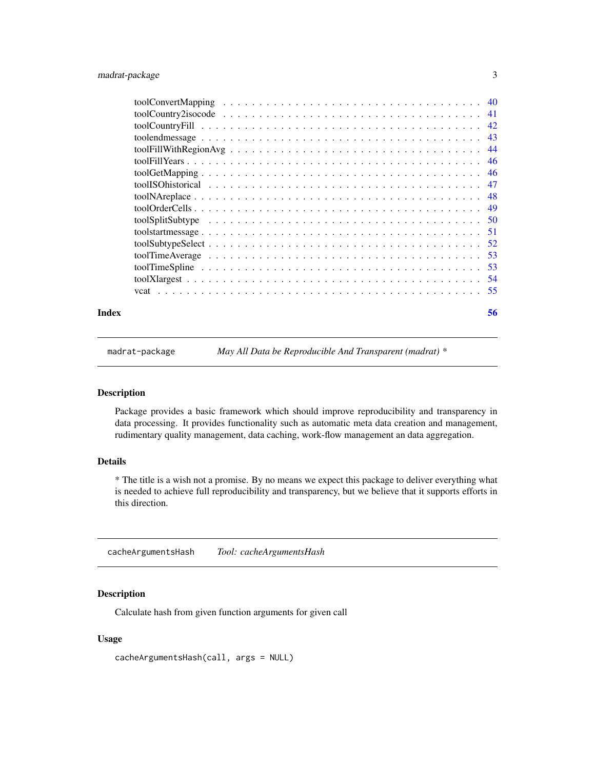<span id="page-2-0"></span>

| Index | 56 |
|-------|----|

madrat-package *May All Data be Reproducible And Transparent (madrat) \**

## Description

Package provides a basic framework which should improve reproducibility and transparency in data processing. It provides functionality such as automatic meta data creation and management, rudimentary quality management, data caching, work-flow management an data aggregation.

## Details

\* The title is a wish not a promise. By no means we expect this package to deliver everything what is needed to achieve full reproducibility and transparency, but we believe that it supports efforts in this direction.

<span id="page-2-1"></span>cacheArgumentsHash *Tool: cacheArgumentsHash*

## Description

Calculate hash from given function arguments for given call

#### Usage

cacheArgumentsHash(call, args = NULL)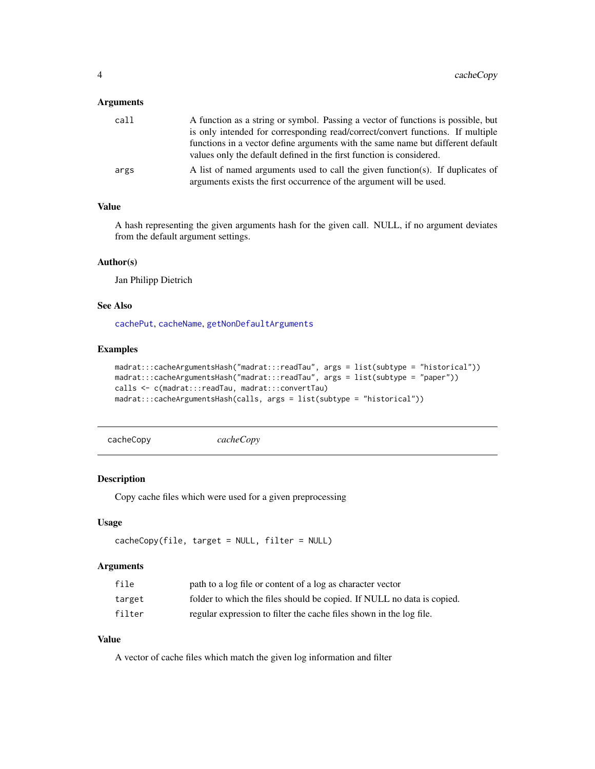## <span id="page-3-0"></span>Arguments

| call | A function as a string or symbol. Passing a vector of functions is possible, but                                                                        |
|------|---------------------------------------------------------------------------------------------------------------------------------------------------------|
|      | is only intended for corresponding read/correct/convert functions. If multiple                                                                          |
|      | functions in a vector define arguments with the same name but different default<br>values only the default defined in the first function is considered. |
|      |                                                                                                                                                         |
| args | A list of named arguments used to call the given function(s). If duplicates of<br>arguments exists the first occurrence of the argument will be used.   |

## Value

A hash representing the given arguments hash for the given call. NULL, if no argument deviates from the default argument settings.

### Author(s)

Jan Philipp Dietrich

## See Also

[cachePut](#page-6-1), [cacheName](#page-5-1), [getNonDefaultArguments](#page-22-1)

## Examples

```
madrat:::cacheArgumentsHash("madrat:::readTau", args = list(subtype = "historical"))
madrat:::cacheArgumentsHash("madrat:::readTau", args = list(subtype = "paper"))
calls <- c(madrat:::readTau, madrat:::convertTau)
madrat:::cacheArgumentsHash(calls, args = list(subtype = "historical"))
```
cacheCopy *cacheCopy*

#### Description

Copy cache files which were used for a given preprocessing

## Usage

```
cacheCopy(file, target = NULL, filter = NULL)
```
## Arguments

| file   | path to a log file or content of a log as character vector             |
|--------|------------------------------------------------------------------------|
| target | folder to which the files should be copied. If NULL no data is copied. |
| filter | regular expression to filter the cache files shown in the log file.    |

## Value

A vector of cache files which match the given log information and filter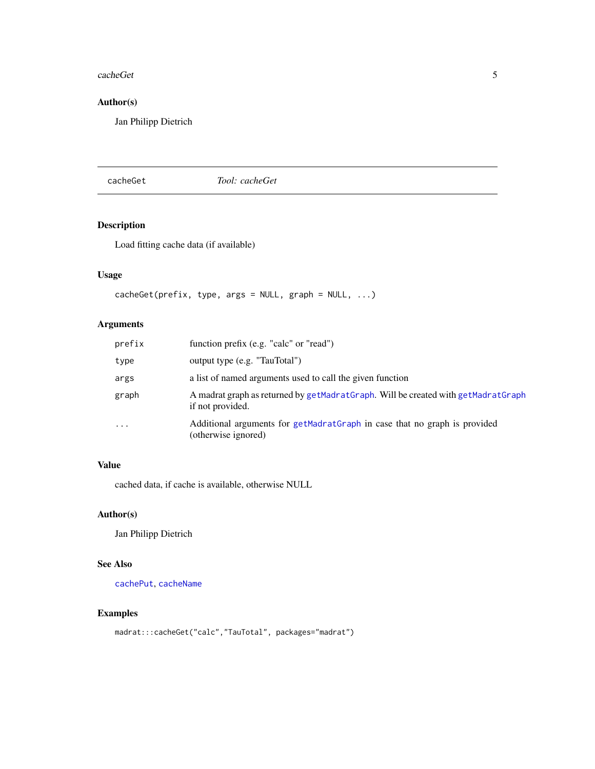#### <span id="page-4-0"></span>cacheGet 5

## Author(s)

Jan Philipp Dietrich

cacheGet *Tool: cacheGet*

## Description

Load fitting cache data (if available)

## Usage

```
cacheGet(prefix, type, args = NULL, graph = NULL, ...)
```
## Arguments

| prefix   | function prefix (e.g. "calc" or "read")                                                               |
|----------|-------------------------------------------------------------------------------------------------------|
| type     | output type (e.g. "TauTotal")                                                                         |
| args     | a list of named arguments used to call the given function                                             |
| graph    | A madrat graph as returned by getMadratGraph. Will be created with getMadratGraph<br>if not provided. |
| $\cdots$ | Additional arguments for getMadratGraph in case that no graph is provided<br>(otherwise ignored)      |

## Value

cached data, if cache is available, otherwise NULL

## Author(s)

Jan Philipp Dietrich

## See Also

[cachePut](#page-6-1), [cacheName](#page-5-1)

```
madrat:::cacheGet("calc","TauTotal", packages="madrat")
```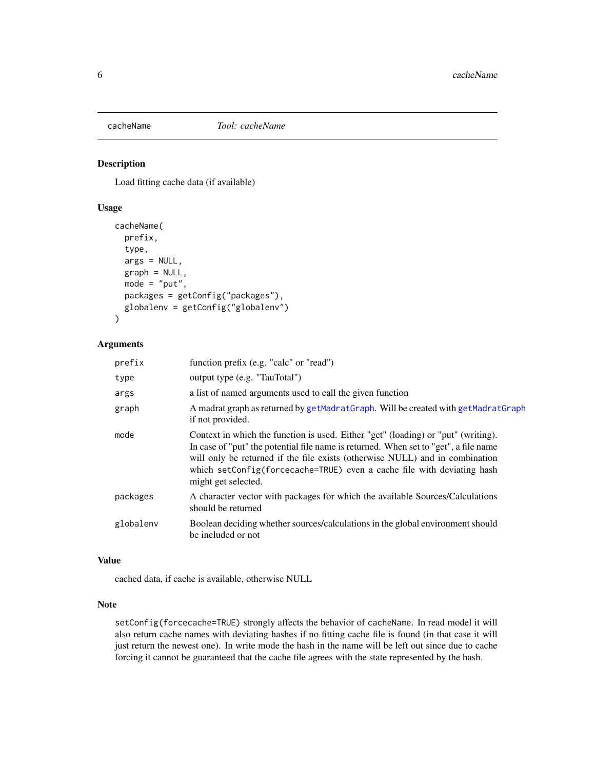<span id="page-5-1"></span><span id="page-5-0"></span>

#### Description

Load fitting cache data (if available)

## Usage

```
cacheName(
  prefix,
  type,
  args = NULL,
  graph = NULL,
  mode = "put",packages = getConfig("packages"),
  globalenv = getConfig("globalenv")
)
```
## Arguments

| prefix    | function prefix (e.g. "calc" or "read")                                                                                                                                                                                                                                                                                                                    |
|-----------|------------------------------------------------------------------------------------------------------------------------------------------------------------------------------------------------------------------------------------------------------------------------------------------------------------------------------------------------------------|
| type      | output type (e.g. "TauTotal")                                                                                                                                                                                                                                                                                                                              |
| args      | a list of named arguments used to call the given function                                                                                                                                                                                                                                                                                                  |
| graph     | A madrat graph as returned by getMadratGraph. Will be created with getMadratGraph<br>if not provided.                                                                                                                                                                                                                                                      |
| mode      | Context in which the function is used. Either "get" (loading) or "put" (writing).<br>In case of "put" the potential file name is returned. When set to "get", a file name<br>will only be returned if the file exists (otherwise NULL) and in combination<br>which setConfig(forcecache=TRUE) even a cache file with deviating hash<br>might get selected. |
| packages  | A character vector with packages for which the available Sources/Calculations<br>should be returned                                                                                                                                                                                                                                                        |
| globalenv | Boolean deciding whether sources/calculations in the global environment should<br>be included or not                                                                                                                                                                                                                                                       |

## Value

cached data, if cache is available, otherwise NULL

## Note

setConfig(forcecache=TRUE) strongly affects the behavior of cacheName. In read model it will also return cache names with deviating hashes if no fitting cache file is found (in that case it will just return the newest one). In write mode the hash in the name will be left out since due to cache forcing it cannot be guaranteed that the cache file agrees with the state represented by the hash.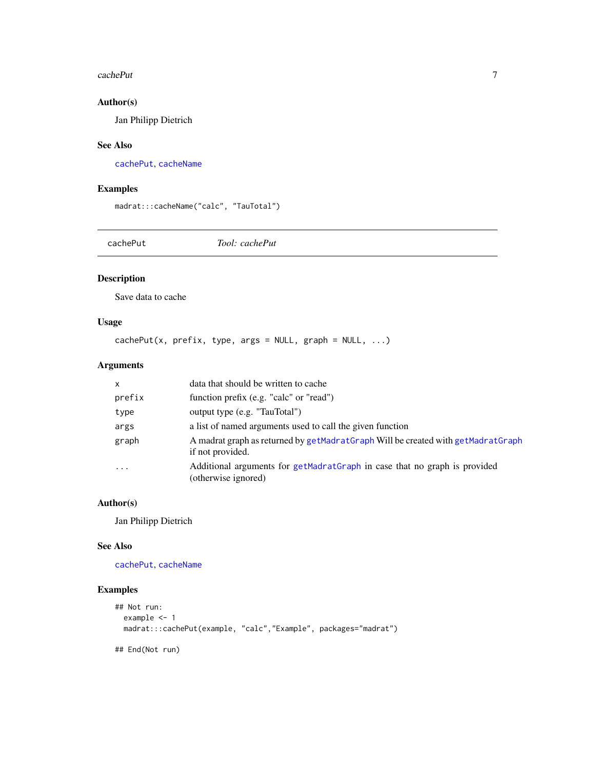#### <span id="page-6-0"></span>cachePut 7

## Author(s)

Jan Philipp Dietrich

## See Also

[cachePut](#page-6-1), [cacheName](#page-5-1)

## Examples

madrat:::cacheName("calc", "TauTotal")

<span id="page-6-1"></span>cachePut *Tool: cachePut*

## Description

Save data to cache

## Usage

 $cachePut(x, prefix, type, args = NULL, graph = NULL, ...)$ 

## Arguments

| $\mathsf{x}$ | data that should be written to cache                                                                 |
|--------------|------------------------------------------------------------------------------------------------------|
| prefix       | function prefix (e.g. "calc" or "read")                                                              |
| type         | output type (e.g. "TauTotal")                                                                        |
| args         | a list of named arguments used to call the given function                                            |
| graph        | A madrat graph as returned by getMadratGraph Will be created with getMadratGraph<br>if not provided. |
| $\cdot$      | Additional arguments for getMadratGraph in case that no graph is provided<br>(otherwise ignored)     |

## Author(s)

Jan Philipp Dietrich

#### See Also

[cachePut](#page-6-1), [cacheName](#page-5-1)

```
## Not run:
  example <- 1
  madrat:::cachePut(example, "calc","Example", packages="madrat")
## End(Not run)
```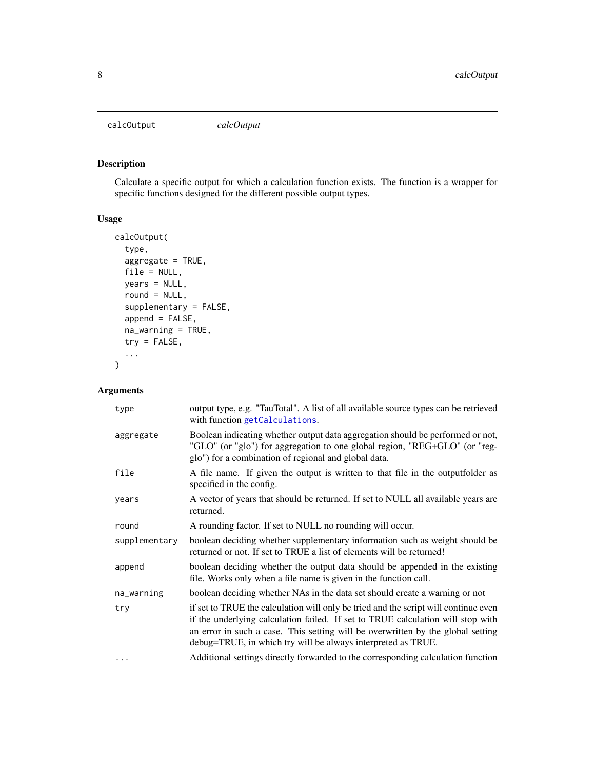<span id="page-7-1"></span><span id="page-7-0"></span>calcOutput *calcOutput*

## Description

Calculate a specific output for which a calculation function exists. The function is a wrapper for specific functions designed for the different possible output types.

## Usage

```
calcOutput(
  type,
  aggregate = TRUE,
 file = NULL,
 years = NULL,
 round = NULL,
  supplementary = FALSE,
  append = FALSE,
 na_warning = TRUE,
  try = FALSE,
  ...
)
```
## Arguments

| type          | output type, e.g. "TauTotal". A list of all available source types can be retrieved<br>with function getCalculations.                                                                                                                                                                                                     |
|---------------|---------------------------------------------------------------------------------------------------------------------------------------------------------------------------------------------------------------------------------------------------------------------------------------------------------------------------|
| aggregate     | Boolean indicating whether output data aggregation should be performed or not,<br>"GLO" (or "glo") for aggregation to one global region, "REG+GLO" (or "reg-<br>glo") for a combination of regional and global data.                                                                                                      |
| file          | A file name. If given the output is written to that file in the outputfolder as<br>specified in the config.                                                                                                                                                                                                               |
| years         | A vector of years that should be returned. If set to NULL all available years are<br>returned.                                                                                                                                                                                                                            |
| round         | A rounding factor. If set to NULL no rounding will occur.                                                                                                                                                                                                                                                                 |
| supplementary | boolean deciding whether supplementary information such as weight should be<br>returned or not. If set to TRUE a list of elements will be returned!                                                                                                                                                                       |
| append        | boolean deciding whether the output data should be appended in the existing<br>file. Works only when a file name is given in the function call.                                                                                                                                                                           |
|               |                                                                                                                                                                                                                                                                                                                           |
| na_warning    | boolean deciding whether NAs in the data set should create a warning or not                                                                                                                                                                                                                                               |
| try           | if set to TRUE the calculation will only be tried and the script will continue even<br>if the underlying calculation failed. If set to TRUE calculation will stop with<br>an error in such a case. This setting will be overwritten by the global setting<br>debug=TRUE, in which try will be always interpreted as TRUE. |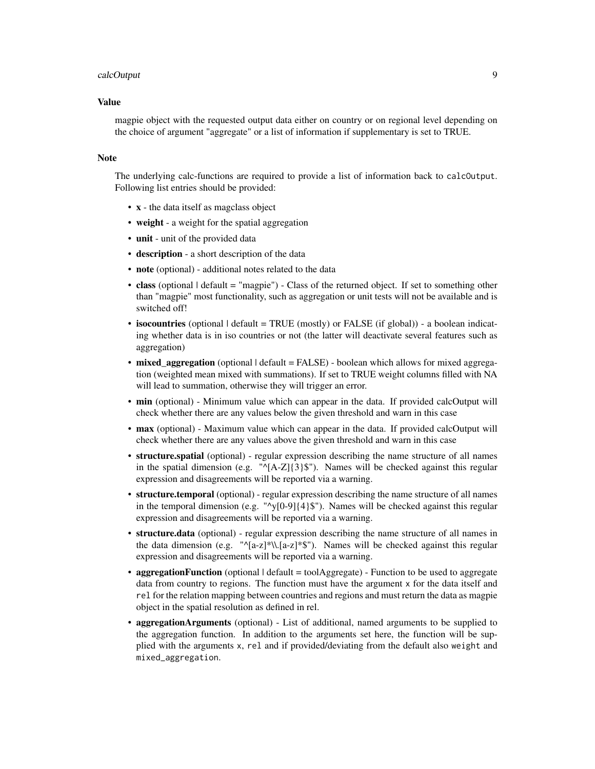#### calcOutput 99 and 200 million control of the control of the control of the control of the control of the control of the control of the control of the control of the control of the control of the control of the control of t

#### Value

magpie object with the requested output data either on country or on regional level depending on the choice of argument "aggregate" or a list of information if supplementary is set to TRUE.

#### **Note**

The underlying calc-functions are required to provide a list of information back to calcOutput. Following list entries should be provided:

- x the data itself as magclass object
- weight a weight for the spatial aggregation
- unit unit of the provided data
- description a short description of the data
- note (optional) additional notes related to the data
- class (optional  $\lvert$  default = "magpie") Class of the returned object. If set to something other than "magpie" most functionality, such as aggregation or unit tests will not be available and is switched off!
- isocountries (optional | default = TRUE (mostly) or FALSE (if global)) a boolean indicating whether data is in iso countries or not (the latter will deactivate several features such as aggregation)
- mixed\_aggregation (optional | default = FALSE) boolean which allows for mixed aggregation (weighted mean mixed with summations). If set to TRUE weight columns filled with NA will lead to summation, otherwise they will trigger an error.
- min (optional) Minimum value which can appear in the data. If provided calcOutput will check whether there are any values below the given threshold and warn in this case
- max (optional) Maximum value which can appear in the data. If provided calcOutput will check whether there are any values above the given threshold and warn in this case
- structure.spatial (optional) regular expression describing the name structure of all names in the spatial dimension (e.g. "^[A-Z]{3}\$"). Names will be checked against this regular expression and disagreements will be reported via a warning.
- structure.temporal (optional) regular expression describing the name structure of all names in the temporal dimension (e.g. " $\gamma$ [0-9]{4}\$"). Names will be checked against this regular expression and disagreements will be reported via a warning.
- structure.data (optional) regular expression describing the name structure of all names in the data dimension (e.g. " $\Gamma_{a-z}$ )\*\\.[a-z]\*\$"). Names will be checked against this regular expression and disagreements will be reported via a warning.
- aggregationFunction (optional  $\lvert$  default = toolAggregate) Function to be used to aggregate data from country to regions. The function must have the argument x for the data itself and rel for the relation mapping between countries and regions and must return the data as magpie object in the spatial resolution as defined in rel.
- aggregationArguments (optional) List of additional, named arguments to be supplied to the aggregation function. In addition to the arguments set here, the function will be supplied with the arguments x, rel and if provided/deviating from the default also weight and mixed\_aggregation.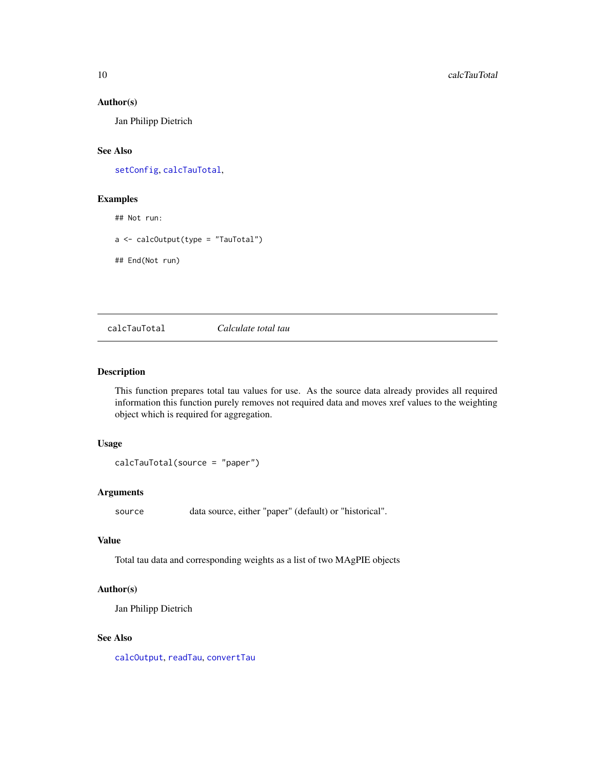## Author(s)

Jan Philipp Dietrich

## See Also

[setConfig](#page-32-1), [calcTauTotal](#page-9-1),

#### Examples

## Not run:

a <- calcOutput(type = "TauTotal")

## End(Not run)

<span id="page-9-1"></span>calcTauTotal *Calculate total tau*

#### Description

This function prepares total tau values for use. As the source data already provides all required information this function purely removes not required data and moves xref values to the weighting object which is required for aggregation.

## Usage

```
calcTauTotal(source = "paper")
```
## Arguments

source data source, either "paper" (default) or "historical".

## Value

Total tau data and corresponding weights as a list of two MAgPIE objects

#### Author(s)

Jan Philipp Dietrich

#### See Also

[calcOutput](#page-7-1), [readTau](#page-29-1), [convertTau](#page-10-1)

<span id="page-9-0"></span>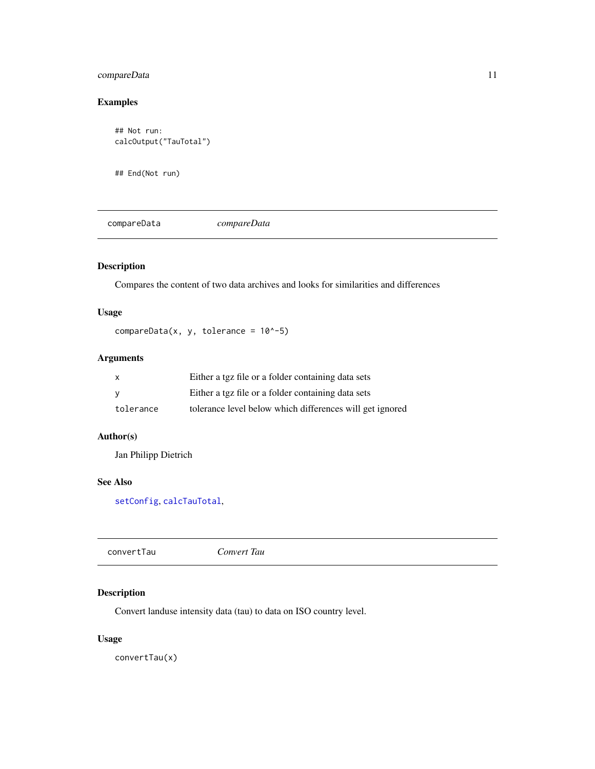## <span id="page-10-0"></span>compareData 11

## Examples

```
## Not run:
calcOutput("TauTotal")
```
## End(Not run)

compareData *compareData*

## Description

Compares the content of two data archives and looks for similarities and differences

## Usage

```
compareData(x, y, tolerance = 10^x-5)
```
## Arguments

| X         | Either a tgz file or a folder containing data sets       |
|-----------|----------------------------------------------------------|
| <b>V</b>  | Either a tgz file or a folder containing data sets       |
| tolerance | tolerance level below which differences will get ignored |

## Author(s)

Jan Philipp Dietrich

#### See Also

[setConfig](#page-32-1), [calcTauTotal](#page-9-1),

<span id="page-10-1"></span>

## Description

Convert landuse intensity data (tau) to data on ISO country level.

## Usage

convertTau(x)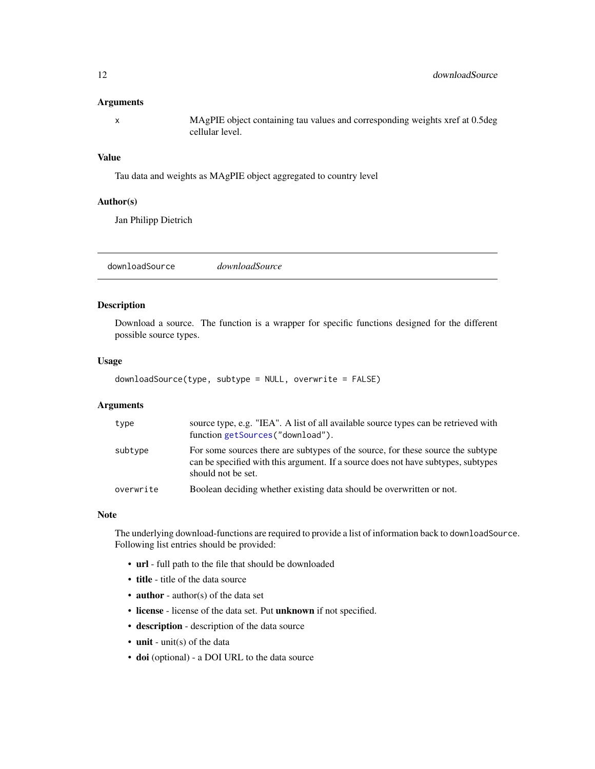#### <span id="page-11-0"></span>Arguments

x MAgPIE object containing tau values and corresponding weights xref at 0.5deg cellular level.

## Value

Tau data and weights as MAgPIE object aggregated to country level

#### Author(s)

Jan Philipp Dietrich

<span id="page-11-1"></span>downloadSource *downloadSource*

## Description

Download a source. The function is a wrapper for specific functions designed for the different possible source types.

#### Usage

```
downloadSource(type, subtype = NULL, overwrite = FALSE)
```
#### **Arguments**

| type      | source type, e.g. "IEA". A list of all available source types can be retrieved with<br>function getSources("download").                                                                    |
|-----------|--------------------------------------------------------------------------------------------------------------------------------------------------------------------------------------------|
| subtype   | For some sources there are subtypes of the source, for these source the subtype<br>can be specified with this argument. If a source does not have subtypes, subtypes<br>should not be set. |
| overwrite | Boolean deciding whether existing data should be overwritten or not.                                                                                                                       |

#### **Note**

The underlying download-functions are required to provide a list of information back to downloadSource. Following list entries should be provided:

- url full path to the file that should be downloaded
- title title of the data source
- **author** author(s) of the data set
- license license of the data set. Put unknown if not specified.
- description description of the data source
- unit unit(s) of the data
- doi (optional) a DOI URL to the data source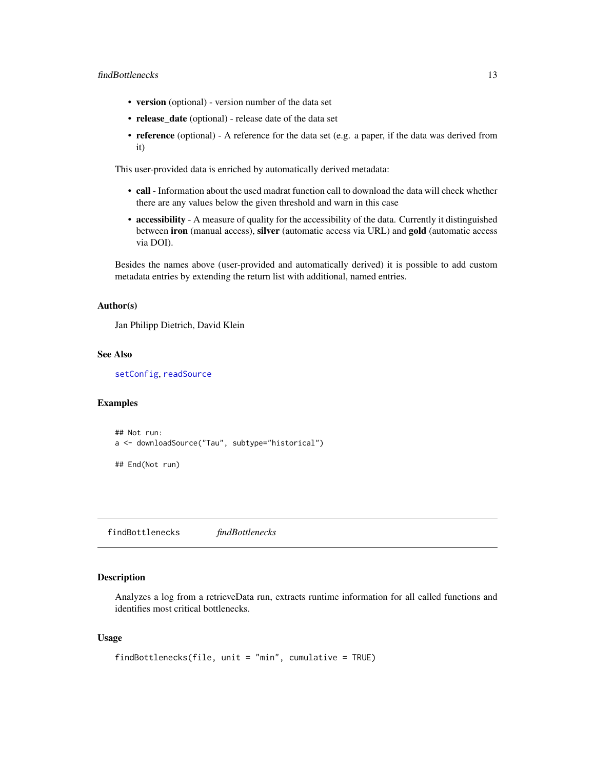#### <span id="page-12-0"></span>findBottlenecks 13

- version (optional) version number of the data set
- release\_date (optional) release date of the data set
- reference (optional) A reference for the data set (e.g. a paper, if the data was derived from it)

This user-provided data is enriched by automatically derived metadata:

- call Information about the used madrat function call to download the data will check whether there are any values below the given threshold and warn in this case
- accessibility A measure of quality for the accessibility of the data. Currently it distinguished between iron (manual access), silver (automatic access via URL) and gold (automatic access via DOI).

Besides the names above (user-provided and automatically derived) it is possible to add custom metadata entries by extending the return list with additional, named entries.

#### Author(s)

Jan Philipp Dietrich, David Klein

#### See Also

[setConfig](#page-32-1), [readSource](#page-28-1)

#### Examples

```
## Not run:
a <- downloadSource("Tau", subtype="historical")
```
## End(Not run)

findBottlenecks *findBottlenecks*

## Description

Analyzes a log from a retrieveData run, extracts runtime information for all called functions and identifies most critical bottlenecks.

#### Usage

```
findBottlenecks(file, unit = "min", cumulative = TRUE)
```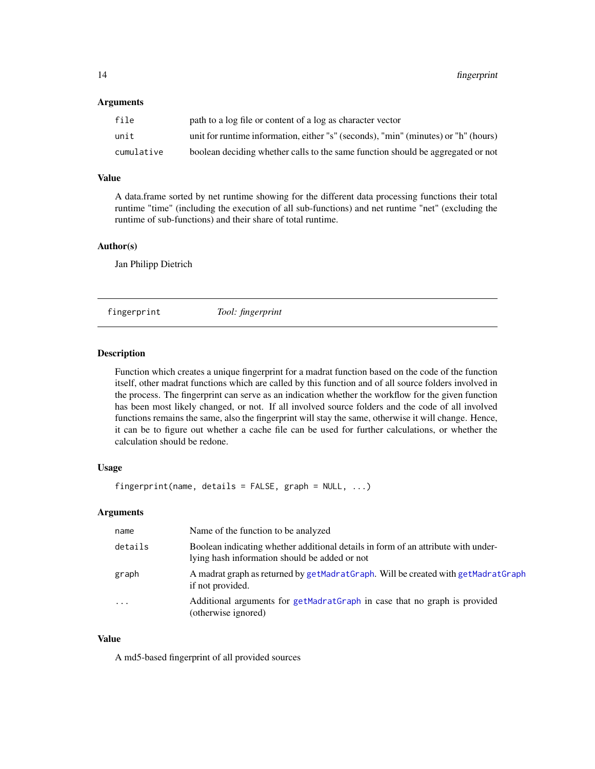#### <span id="page-13-0"></span>Arguments

| file       | path to a log file or content of a log as character vector                         |
|------------|------------------------------------------------------------------------------------|
| unit       | unit for runtime information, either "s" (seconds), "min" (minutes) or "h" (hours) |
| cumulative | boolean deciding whether calls to the same function should be aggregated or not    |

## Value

A data.frame sorted by net runtime showing for the different data processing functions their total runtime "time" (including the execution of all sub-functions) and net runtime "net" (excluding the runtime of sub-functions) and their share of total runtime.

#### Author(s)

Jan Philipp Dietrich

<span id="page-13-1"></span>fingerprint *Tool: fingerprint*

#### Description

Function which creates a unique fingerprint for a madrat function based on the code of the function itself, other madrat functions which are called by this function and of all source folders involved in the process. The fingerprint can serve as an indication whether the workflow for the given function has been most likely changed, or not. If all involved source folders and the code of all involved functions remains the same, also the fingerprint will stay the same, otherwise it will change. Hence, it can be to figure out whether a cache file can be used for further calculations, or whether the calculation should be redone.

#### Usage

fingerprint(name, details = FALSE, graph = NULL, ...)

#### Arguments

| name      | Name of the function to be analyzed                                                                                                |
|-----------|------------------------------------------------------------------------------------------------------------------------------------|
| details   | Boolean indicating whether additional details in form of an attribute with under-<br>lying hash information should be added or not |
| graph     | A madrat graph as returned by getMadratGraph. Will be created with getMadratGraph<br>if not provided.                              |
| $\ddotsc$ | Additional arguments for getMadratGraph in case that no graph is provided<br>(otherwise ignored)                                   |

#### Value

A md5-based fingerprint of all provided sources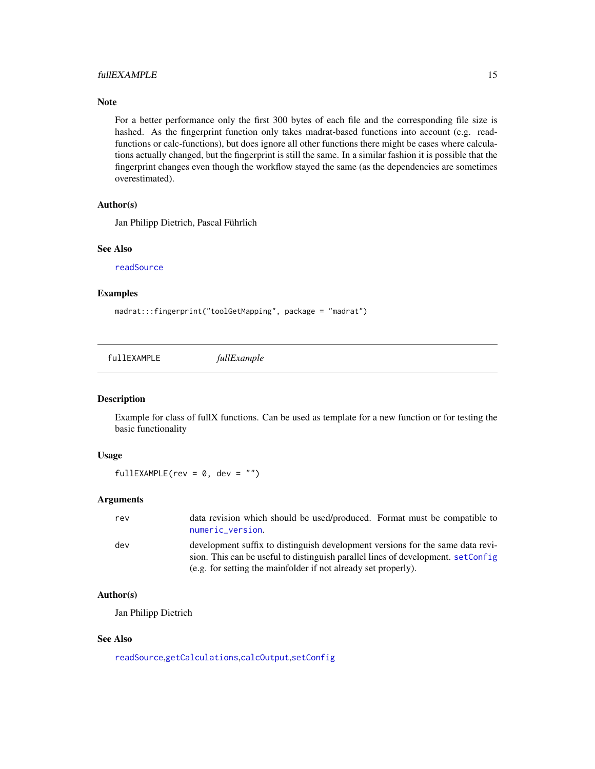### <span id="page-14-0"></span>fullEXAMPLE 15

#### Note

For a better performance only the first 300 bytes of each file and the corresponding file size is hashed. As the fingerprint function only takes madrat-based functions into account (e.g. readfunctions or calc-functions), but does ignore all other functions there might be cases where calculations actually changed, but the fingerprint is still the same. In a similar fashion it is possible that the fingerprint changes even though the workflow stayed the same (as the dependencies are sometimes overestimated).

#### Author(s)

Jan Philipp Dietrich, Pascal Führlich

#### See Also

[readSource](#page-28-1)

## Examples

madrat:::fingerprint("toolGetMapping", package = "madrat")

fullEXAMPLE *fullExample*

#### Description

Example for class of fullX functions. Can be used as template for a new function or for testing the basic functionality

#### Usage

 $fullEXAMPLE(rev = 0, dev = "")$ 

#### Arguments

| rev | data revision which should be used/produced. Format must be compatible to<br>numeric_version.                                                                                                                                        |
|-----|--------------------------------------------------------------------------------------------------------------------------------------------------------------------------------------------------------------------------------------|
| dev | development suffix to distinguish development versions for the same data revi-<br>sion. This can be useful to distinguish parallel lines of development. setConfig<br>(e.g. for setting the mainfolder if not already set properly). |

## Author(s)

Jan Philipp Dietrich

#### See Also

[readSource](#page-28-1),[getCalculations](#page-15-1),[calcOutput](#page-7-1),[setConfig](#page-32-1)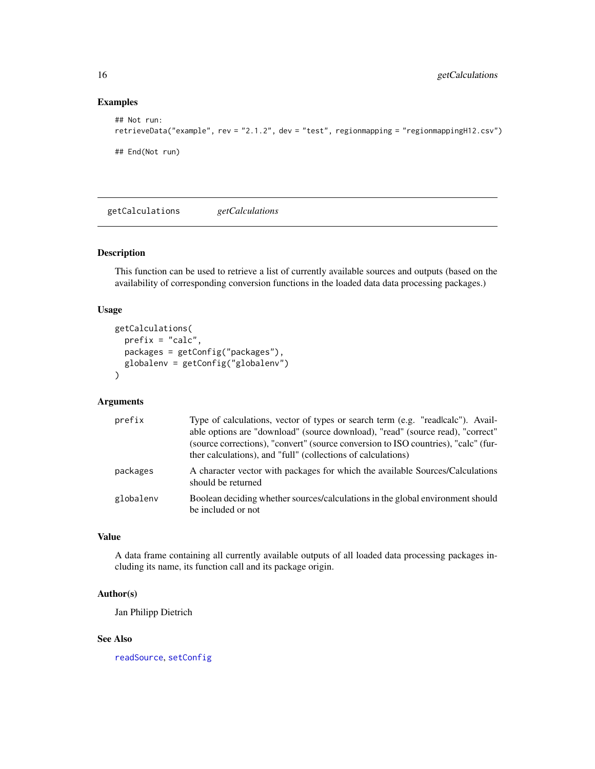## Examples

```
## Not run:
retrieveData("example", rev = "2.1.2", dev = "test", regionmapping = "regionmappingH12.csv")
## End(Not run)
```
<span id="page-15-1"></span>getCalculations *getCalculations*

## Description

This function can be used to retrieve a list of currently available sources and outputs (based on the availability of corresponding conversion functions in the loaded data data processing packages.)

## Usage

```
getCalculations(
  prefix = "calc",
  packages = getConfig("packages"),
  globalenv = getConfig("globalenv")
\mathcal{L}
```
#### Arguments

| prefix    | Type of calculations, vector of types or search term (e.g. "readlcalc"). Avail-<br>able options are "download" (source download), "read" (source read), "correct"<br>(source corrections), "convert" (source conversion to ISO countries), "calc" (fur-<br>ther calculations), and "full" (collections of calculations) |
|-----------|-------------------------------------------------------------------------------------------------------------------------------------------------------------------------------------------------------------------------------------------------------------------------------------------------------------------------|
| packages  | A character vector with packages for which the available Sources/Calculations<br>should be returned                                                                                                                                                                                                                     |
| globalenv | Boolean deciding whether sources/calculations in the global environment should<br>be included or not                                                                                                                                                                                                                    |

## Value

A data frame containing all currently available outputs of all loaded data processing packages including its name, its function call and its package origin.

## Author(s)

Jan Philipp Dietrich

## See Also

[readSource](#page-28-1), [setConfig](#page-32-1)

<span id="page-15-0"></span>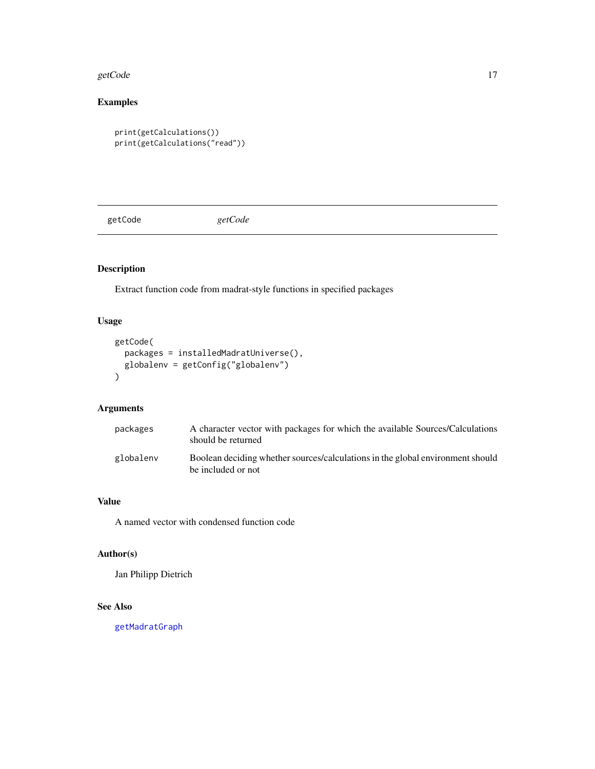#### <span id="page-16-0"></span>getCode and the set of the set of the set of the set of the set of the set of the set of the set of the set of the set of the set of the set of the set of the set of the set of the set of the set of the set of the set of t

## Examples

```
print(getCalculations())
print(getCalculations("read"))
```
getCode *getCode*

## Description

Extract function code from madrat-style functions in specified packages

## Usage

```
getCode(
  packages = installedMadratUniverse(),
  globalenv = getConfig("globalenv")
)
```
## Arguments

| packages  | A character vector with packages for which the available Sources/Calculations<br>should be returned  |
|-----------|------------------------------------------------------------------------------------------------------|
| globalenv | Boolean deciding whether sources/calculations in the global environment should<br>be included or not |

## Value

A named vector with condensed function code

## Author(s)

Jan Philipp Dietrich

## See Also

[getMadratGraph](#page-20-1)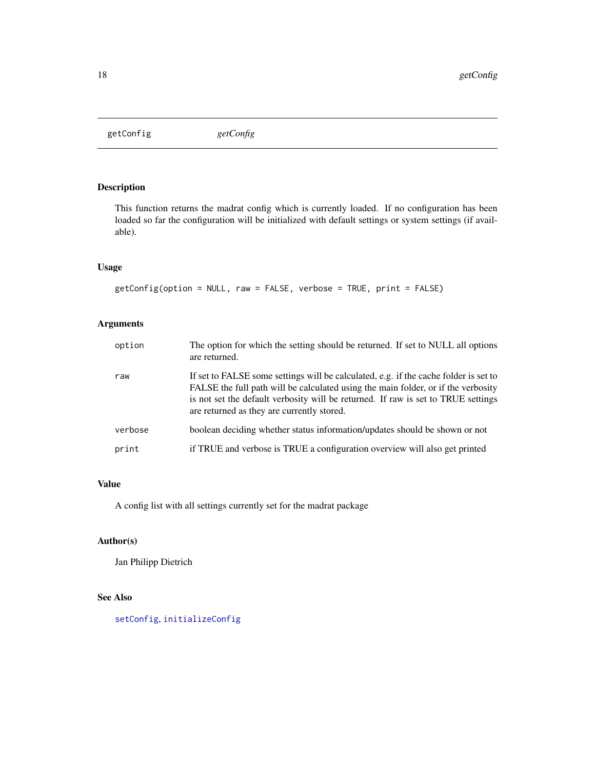<span id="page-17-1"></span><span id="page-17-0"></span>getConfig *getConfig*

## Description

This function returns the madrat config which is currently loaded. If no configuration has been loaded so far the configuration will be initialized with default settings or system settings (if available).

## Usage

```
getConfig(option = NULL, raw = FALSE, verbose = TRUE, print = FALSE)
```
## Arguments

| option  | The option for which the setting should be returned. If set to NULL all options<br>are returned.                                                                                                                                                                                                             |
|---------|--------------------------------------------------------------------------------------------------------------------------------------------------------------------------------------------------------------------------------------------------------------------------------------------------------------|
| raw     | If set to FALSE some settings will be calculated, e.g. if the cache folder is set to<br>FALSE the full path will be calculated using the main folder, or if the verbosity<br>is not set the default verbosity will be returned. If raw is set to TRUE settings<br>are returned as they are currently stored. |
| verbose | boolean deciding whether status information/updates should be shown or not                                                                                                                                                                                                                                   |
| print   | if TRUE and verbose is TRUE a configuration overview will also get printed                                                                                                                                                                                                                                   |

#### Value

A config list with all settings currently set for the madrat package

## Author(s)

Jan Philipp Dietrich

## See Also

[setConfig](#page-32-1), [initializeConfig](#page-24-1)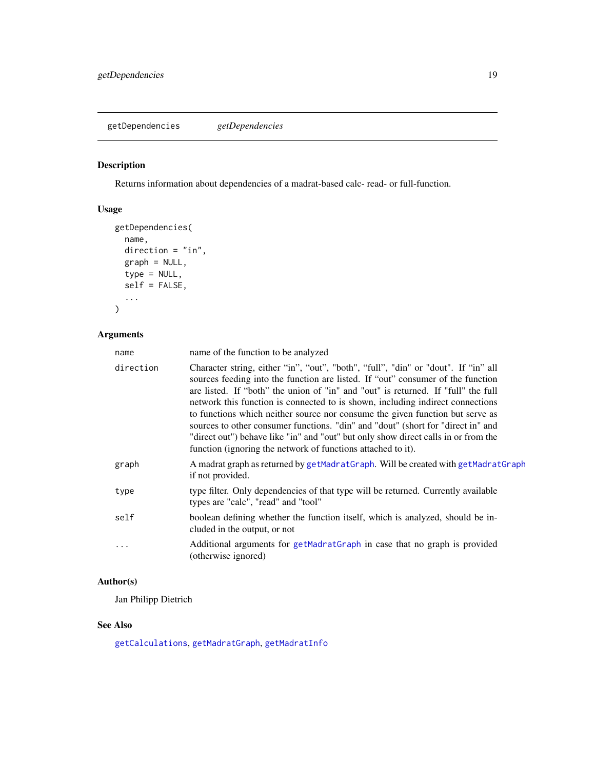<span id="page-18-0"></span>getDependencies *getDependencies*

## Description

Returns information about dependencies of a madrat-based calc- read- or full-function.

## Usage

```
getDependencies(
  name,
  direction = "in",
  graph = NULL,
  type = NULL,
  self = FALSE,
  ...
)
```
## Arguments

| name      | name of the function to be analyzed                                                                                                                                                                                                                                                                                                                                                                                                                                                                                                                                                                                                                                     |
|-----------|-------------------------------------------------------------------------------------------------------------------------------------------------------------------------------------------------------------------------------------------------------------------------------------------------------------------------------------------------------------------------------------------------------------------------------------------------------------------------------------------------------------------------------------------------------------------------------------------------------------------------------------------------------------------------|
| direction | Character string, either "in", "out", "both", "full", "din" or "dout". If "in" all<br>sources feeding into the function are listed. If "out" consumer of the function<br>are listed. If "both" the union of "in" and "out" is returned. If "full" the full<br>network this function is connected to is shown, including indirect connections<br>to functions which neither source nor consume the given function but serve as<br>sources to other consumer functions. "din" and "dout" (short for "direct in" and<br>"direct out") behave like "in" and "out" but only show direct calls in or from the<br>function (ignoring the network of functions attached to it). |
| graph     | A madrat graph as returned by getMadratGraph. Will be created with getMadratGraph<br>if not provided.                                                                                                                                                                                                                                                                                                                                                                                                                                                                                                                                                                   |
| type      | type filter. Only dependencies of that type will be returned. Currently available<br>types are "calc", "read" and "tool"                                                                                                                                                                                                                                                                                                                                                                                                                                                                                                                                                |
| self      | boolean defining whether the function itself, which is analyzed, should be in-<br>cluded in the output, or not                                                                                                                                                                                                                                                                                                                                                                                                                                                                                                                                                          |
| .         | Additional arguments for getMadratGraph in case that no graph is provided<br>(otherwise ignored)                                                                                                                                                                                                                                                                                                                                                                                                                                                                                                                                                                        |

## Author(s)

Jan Philipp Dietrich

## See Also

[getCalculations](#page-15-1), [getMadratGraph](#page-20-1), [getMadratInfo](#page-21-1)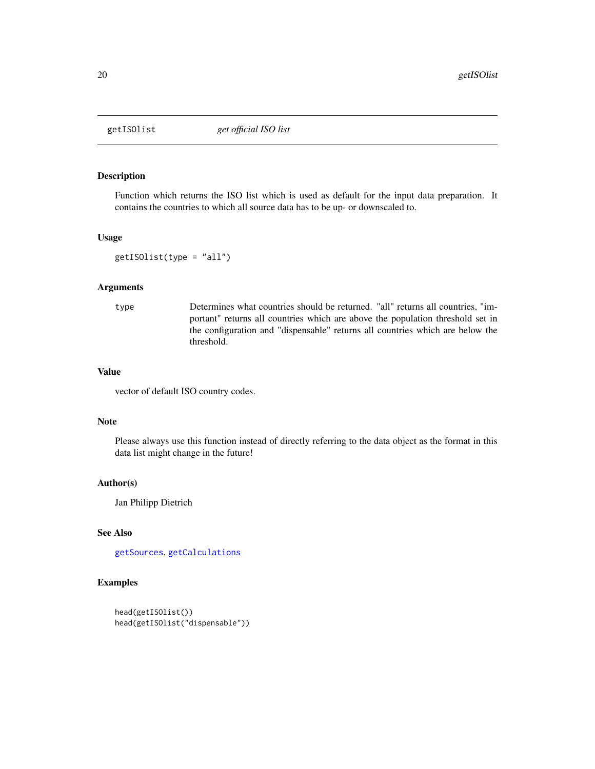<span id="page-19-1"></span><span id="page-19-0"></span>

## Description

Function which returns the ISO list which is used as default for the input data preparation. It contains the countries to which all source data has to be up- or downscaled to.

## Usage

```
getISOlist(type = "all")
```
## Arguments

type Determines what countries should be returned. "all" returns all countries, "important" returns all countries which are above the population threshold set in the configuration and "dispensable" returns all countries which are below the threshold.

#### Value

vector of default ISO country codes.

## Note

Please always use this function instead of directly referring to the data object as the format in this data list might change in the future!

#### Author(s)

Jan Philipp Dietrich

#### See Also

[getSources](#page-23-1), [getCalculations](#page-15-1)

```
head(getISOlist())
head(getISOlist("dispensable"))
```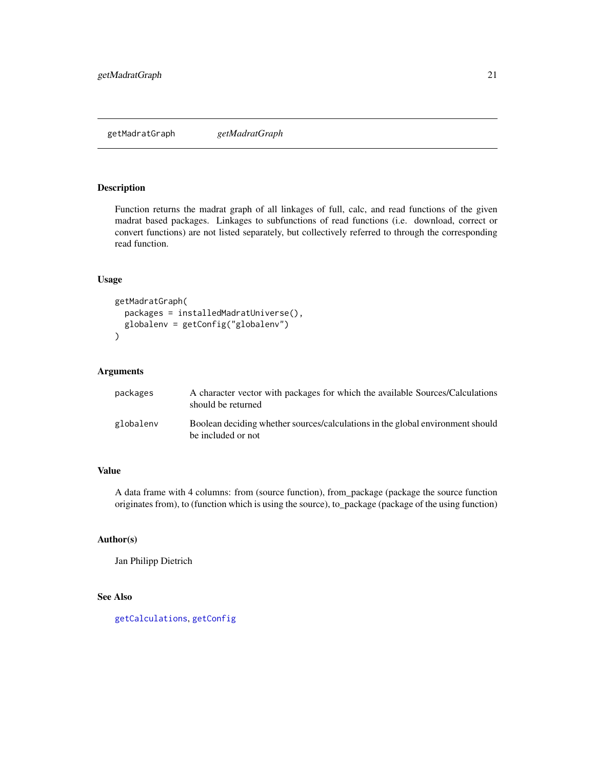## <span id="page-20-1"></span><span id="page-20-0"></span>Description

Function returns the madrat graph of all linkages of full, calc, and read functions of the given madrat based packages. Linkages to subfunctions of read functions (i.e. download, correct or convert functions) are not listed separately, but collectively referred to through the corresponding read function.

#### Usage

```
getMadratGraph(
 packages = installedMadratUniverse(),
  globalenv = getConfig("globalenv")
)
```
#### Arguments

| packages  | A character vector with packages for which the available Sources/Calculations<br>should be returned  |
|-----------|------------------------------------------------------------------------------------------------------|
| globalenv | Boolean deciding whether sources/calculations in the global environment should<br>be included or not |

## Value

A data frame with 4 columns: from (source function), from\_package (package the source function originates from), to (function which is using the source), to\_package (package of the using function)

## Author(s)

Jan Philipp Dietrich

#### See Also

[getCalculations](#page-15-1), [getConfig](#page-17-1)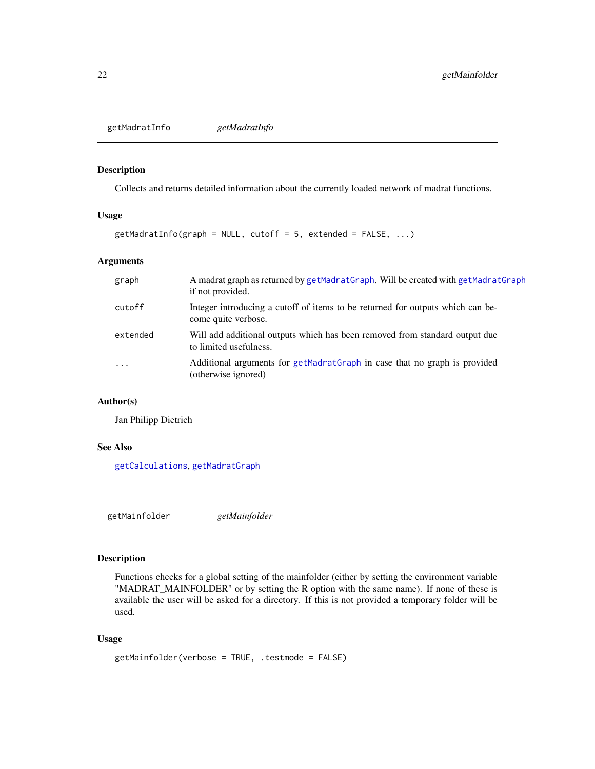<span id="page-21-1"></span><span id="page-21-0"></span>getMadratInfo *getMadratInfo*

## Description

Collects and returns detailed information about the currently loaded network of madrat functions.

#### Usage

```
getMadratInfo(graph = NULL, cutoff = 5, extended = FALSE, ...)
```
## Arguments

| graph     | A madrat graph as returned by getMadratGraph. Will be created with getMadratGraph<br>if not provided. |
|-----------|-------------------------------------------------------------------------------------------------------|
| cutoff    | Integer introducing a cutoff of items to be returned for outputs which can be-<br>come quite verbose. |
| extended  | Will add additional outputs which has been removed from standard output due<br>to limited usefulness. |
| $\ddotsc$ | Additional arguments for getMadratGraph in case that no graph is provided<br>(otherwise ignored)      |

## Author(s)

Jan Philipp Dietrich

#### See Also

[getCalculations](#page-15-1), [getMadratGraph](#page-20-1)

<span id="page-21-2"></span>getMainfolder *getMainfolder*

## Description

Functions checks for a global setting of the mainfolder (either by setting the environment variable "MADRAT\_MAINFOLDER" or by setting the R option with the same name). If none of these is available the user will be asked for a directory. If this is not provided a temporary folder will be used.

#### Usage

```
getMainfolder(verbose = TRUE, .testmode = FALSE)
```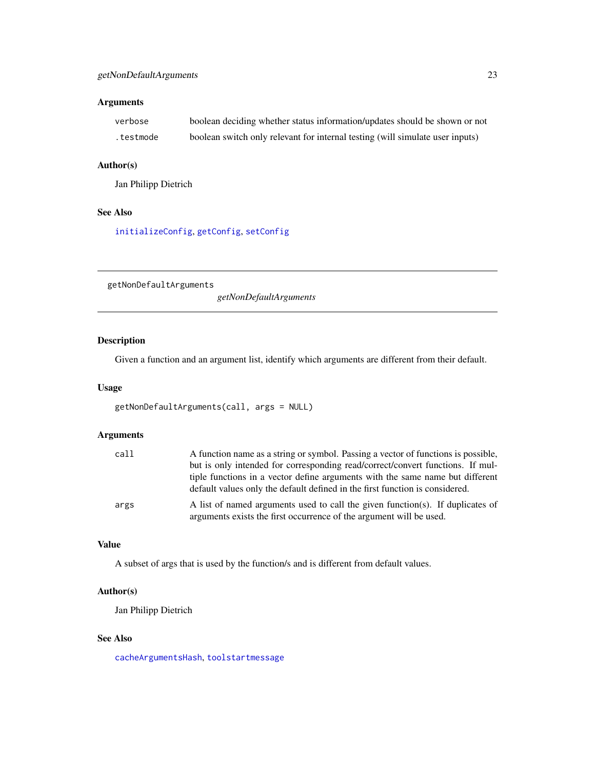## <span id="page-22-0"></span>Arguments

| verbose   | boolean deciding whether status information/updates should be shown or not    |
|-----------|-------------------------------------------------------------------------------|
| .testmode | boolean switch only relevant for internal testing (will simulate user inputs) |

## Author(s)

Jan Philipp Dietrich

## See Also

[initializeConfig](#page-24-1), [getConfig](#page-17-1), [setConfig](#page-32-1)

<span id="page-22-1"></span>getNonDefaultArguments

*getNonDefaultArguments*

## Description

Given a function and an argument list, identify which arguments are different from their default.

#### Usage

```
getNonDefaultArguments(call, args = NULL)
```
## Arguments

| call | A function name as a string or symbol. Passing a vector of functions is possible, |
|------|-----------------------------------------------------------------------------------|
|      | but is only intended for corresponding read/correct/convert functions. If mul-    |
|      | tiple functions in a vector define arguments with the same name but different     |
|      | default values only the default defined in the first function is considered.      |
| args | A list of named arguments used to call the given function(s). If duplicates of    |
|      | arguments exists the first occurrence of the argument will be used.               |

## Value

A subset of args that is used by the function/s and is different from default values.

#### Author(s)

Jan Philipp Dietrich

## See Also

[cacheArgumentsHash](#page-2-1), [toolstartmessage](#page-50-1)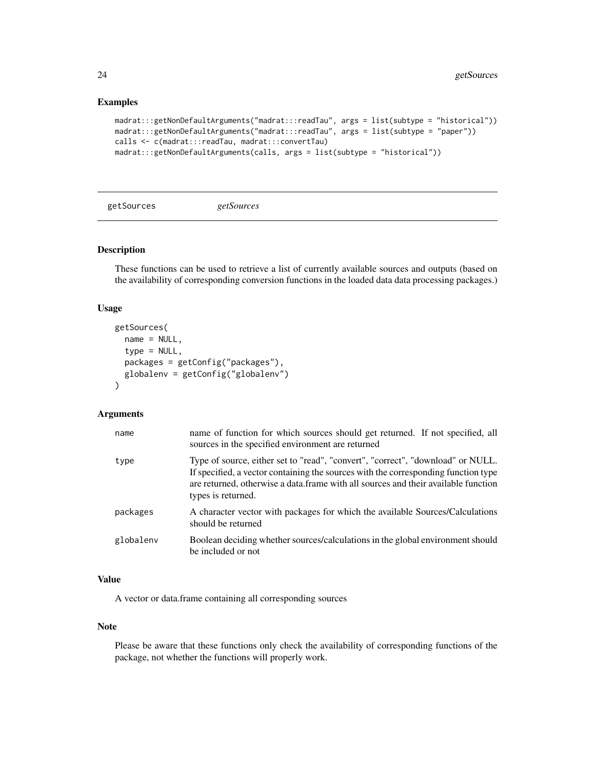#### Examples

```
madrat:::getNonDefaultArguments("madrat:::readTau", args = list(subtype = "historical"))
madrat:::getNonDefaultArguments("madrat:::readTau", args = list(subtype = "paper"))
calls <- c(madrat:::readTau, madrat:::convertTau)
madrat:::getNonDefaultArguments(calls, args = list(subtype = "historical"))
```
<span id="page-23-1"></span>getSources *getSources*

## Description

These functions can be used to retrieve a list of currently available sources and outputs (based on the availability of corresponding conversion functions in the loaded data data processing packages.)

#### Usage

```
getSources(
  name = NULL,type = NULL,
  packages = getConfig("packages"),
  globalenv = getConfig("globalenv")
)
```
#### Arguments

| name      | name of function for which sources should get returned. If not specified, all<br>sources in the specified environment are returned                                                                                                                                                |
|-----------|-----------------------------------------------------------------------------------------------------------------------------------------------------------------------------------------------------------------------------------------------------------------------------------|
| type      | Type of source, either set to "read", "convert", "correct", "download" or NULL.<br>If specified, a vector containing the sources with the corresponding function type<br>are returned, otherwise a data frame with all sources and their available function<br>types is returned. |
| packages  | A character vector with packages for which the available Sources/Calculations<br>should be returned                                                                                                                                                                               |
| globalenv | Boolean deciding whether sources/calculations in the global environment should<br>be included or not                                                                                                                                                                              |

## Value

A vector or data.frame containing all corresponding sources

#### Note

Please be aware that these functions only check the availability of corresponding functions of the package, not whether the functions will properly work.

<span id="page-23-0"></span>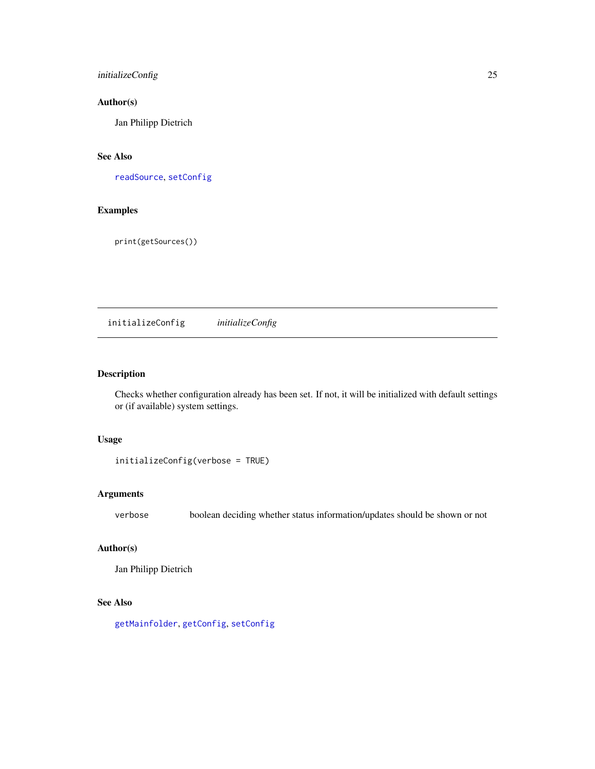## <span id="page-24-0"></span>initializeConfig 25

## Author(s)

Jan Philipp Dietrich

## See Also

[readSource](#page-28-1), [setConfig](#page-32-1)

## Examples

print(getSources())

<span id="page-24-1"></span>initializeConfig *initializeConfig*

## Description

Checks whether configuration already has been set. If not, it will be initialized with default settings or (if available) system settings.

## Usage

```
initializeConfig(verbose = TRUE)
```
## Arguments

verbose boolean deciding whether status information/updates should be shown or not

## Author(s)

Jan Philipp Dietrich

## See Also

[getMainfolder](#page-21-2), [getConfig](#page-17-1), [setConfig](#page-32-1)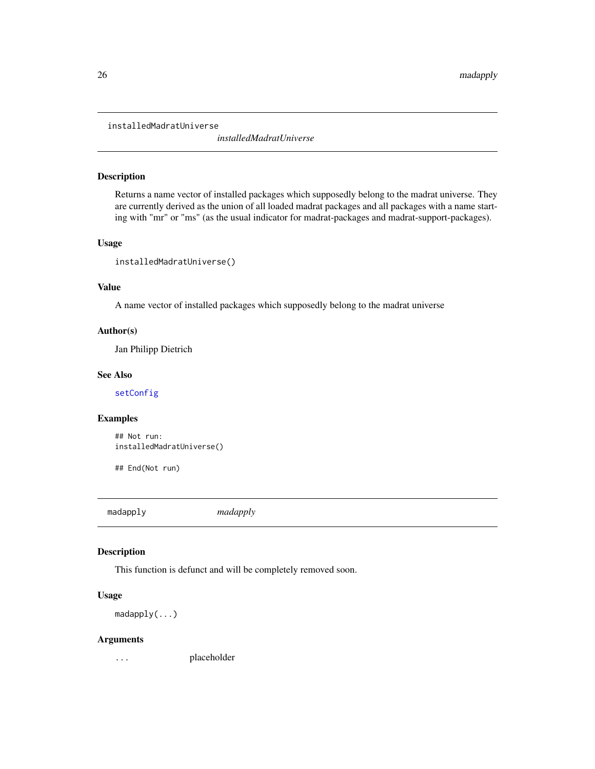<span id="page-25-0"></span>installedMadratUniverse

*installedMadratUniverse*

## Description

Returns a name vector of installed packages which supposedly belong to the madrat universe. They are currently derived as the union of all loaded madrat packages and all packages with a name starting with "mr" or "ms" (as the usual indicator for madrat-packages and madrat-support-packages).

#### Usage

```
installedMadratUniverse()
```
#### Value

A name vector of installed packages which supposedly belong to the madrat universe

## Author(s)

Jan Philipp Dietrich

#### See Also

[setConfig](#page-32-1)

#### Examples

## Not run: installedMadratUniverse()

## End(Not run)

madapply *madapply*

## Description

This function is defunct and will be completely removed soon.

#### Usage

madapply(...)

#### Arguments

... placeholder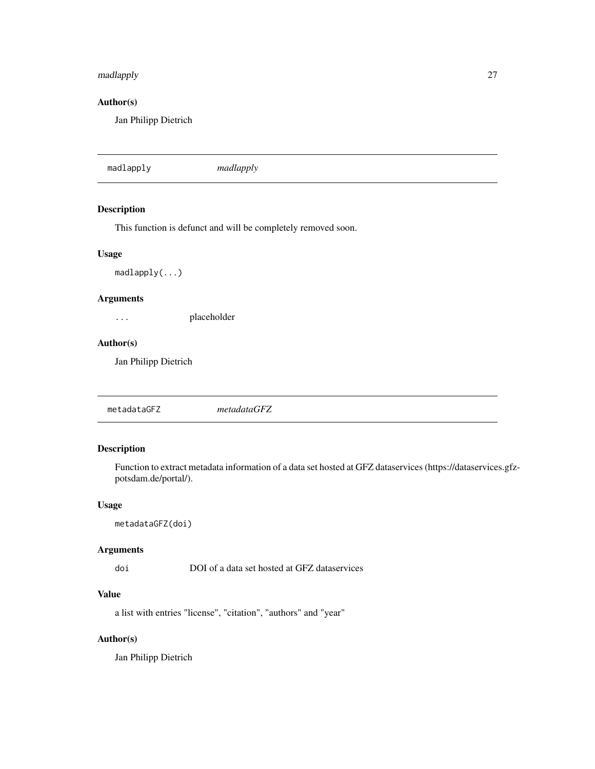## <span id="page-26-0"></span>madlapply 27

## Author(s)

Jan Philipp Dietrich

madlapply *madlapply*

## Description

This function is defunct and will be completely removed soon.

#### Usage

madlapply(...)

## Arguments

... placeholder

#### Author(s)

Jan Philipp Dietrich

## Description

Function to extract metadata information of a data set hosted at GFZ dataservices (https://dataservices.gfzpotsdam.de/portal/).

#### Usage

metadataGFZ(doi)

## Arguments

doi DOI of a data set hosted at GFZ dataservices

## Value

a list with entries "license", "citation", "authors" and "year"

## Author(s)

Jan Philipp Dietrich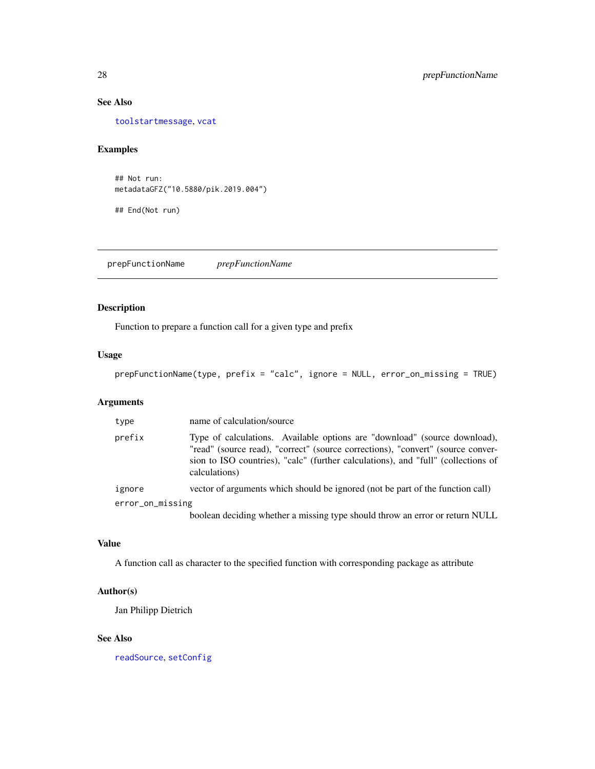## See Also

[toolstartmessage](#page-50-1), [vcat](#page-54-1)

## Examples

## Not run: metadataGFZ("10.5880/pik.2019.004")

## End(Not run)

prepFunctionName *prepFunctionName*

## Description

Function to prepare a function call for a given type and prefix

## Usage

prepFunctionName(type, prefix = "calc", ignore = NULL, error\_on\_missing = TRUE)

## Arguments

| type             | name of calculation/source                                                                                                                                                                                                                                         |  |
|------------------|--------------------------------------------------------------------------------------------------------------------------------------------------------------------------------------------------------------------------------------------------------------------|--|
| prefix           | Type of calculations. Available options are "download" (source download),<br>"read" (source read), "correct" (source corrections), "convert" (source conver-<br>sion to ISO countries), "calc" (further calculations), and "full" (collections of<br>calculations) |  |
| ignore           | vector of arguments which should be ignored (not be part of the function call)                                                                                                                                                                                     |  |
| error_on_missing |                                                                                                                                                                                                                                                                    |  |
|                  | boolean deciding whether a missing type should throw an error or return NULL                                                                                                                                                                                       |  |

#### Value

A function call as character to the specified function with corresponding package as attribute

## Author(s)

Jan Philipp Dietrich

#### See Also

[readSource](#page-28-1), [setConfig](#page-32-1)

<span id="page-27-0"></span>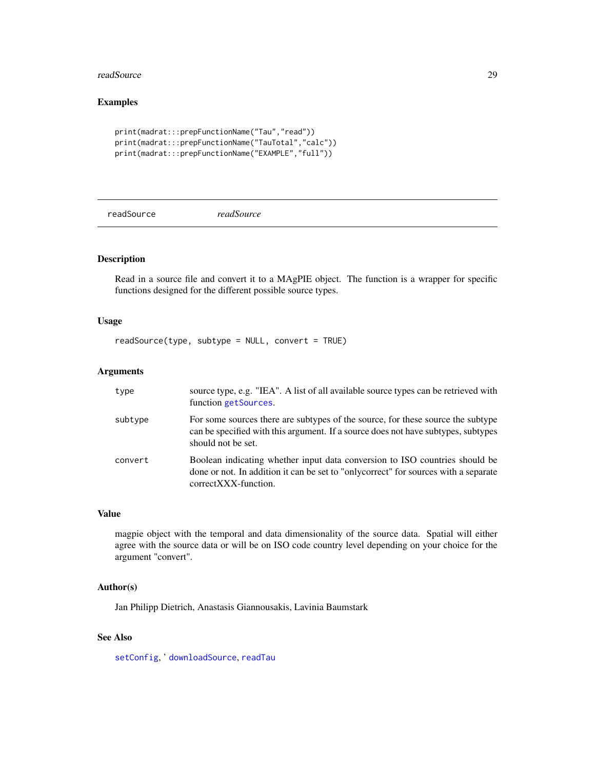#### <span id="page-28-0"></span>readSource 29

## Examples

```
print(madrat:::prepFunctionName("Tau","read"))
print(madrat:::prepFunctionName("TauTotal","calc"))
print(madrat:::prepFunctionName("EXAMPLE","full"))
```
<span id="page-28-1"></span>readSource *readSource*

#### Description

Read in a source file and convert it to a MAgPIE object. The function is a wrapper for specific functions designed for the different possible source types.

## Usage

readSource(type, subtype = NULL, convert = TRUE)

#### Arguments

| type    | source type, e.g. "IEA". A list of all available source types can be retrieved with<br>function getSources.                                                                                 |
|---------|---------------------------------------------------------------------------------------------------------------------------------------------------------------------------------------------|
| subtype | For some sources there are subtypes of the source, for these source the subtype<br>can be specified with this argument. If a source does not have subtypes, subtypes<br>should not be set.  |
| convert | Boolean indicating whether input data conversion to ISO countries should be<br>done or not. In addition it can be set to "only correct" for sources with a separate<br>correctXXX-function. |

## Value

magpie object with the temporal and data dimensionality of the source data. Spatial will either agree with the source data or will be on ISO code country level depending on your choice for the argument "convert".

## Author(s)

Jan Philipp Dietrich, Anastasis Giannousakis, Lavinia Baumstark

## See Also

[setConfig](#page-32-1), ' [downloadSource](#page-11-1), [readTau](#page-29-1)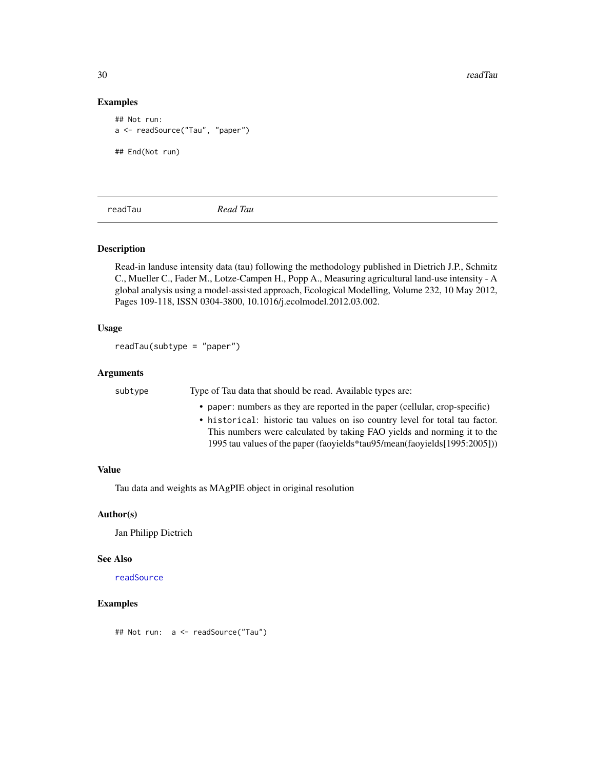<span id="page-29-0"></span>30 readTau and the set of the set of the set of the set of the set of the set of the set of the set of the set of the set of the set of the set of the set of the set of the set of the set of the set of the set of the set o

## Examples

```
## Not run:
a <- readSource("Tau", "paper")
## End(Not run)
```
<span id="page-29-1"></span>readTau *Read Tau*

## Description

Read-in landuse intensity data (tau) following the methodology published in Dietrich J.P., Schmitz C., Mueller C., Fader M., Lotze-Campen H., Popp A., Measuring agricultural land-use intensity - A global analysis using a model-assisted approach, Ecological Modelling, Volume 232, 10 May 2012, Pages 109-118, ISSN 0304-3800, 10.1016/j.ecolmodel.2012.03.002.

#### Usage

```
readTau(subtype = "paper")
```
#### Arguments

| subtype | Type of Tau data that should be read. Available types are:                    |
|---------|-------------------------------------------------------------------------------|
|         | • paper: numbers as they are reported in the paper (cellular, crop-specific)  |
|         | • historical: historic tau values on iso country level for total tau factor.  |
|         | This numbers were calculated by taking FAO yields and norming it to the       |
|         | 1995 tau values of the paper (faoyields *tau 95/mean (faoyields [1995:2005])) |

#### Value

Tau data and weights as MAgPIE object in original resolution

#### Author(s)

Jan Philipp Dietrich

#### See Also

[readSource](#page-28-1)

## Examples

## Not run: a <- readSource("Tau")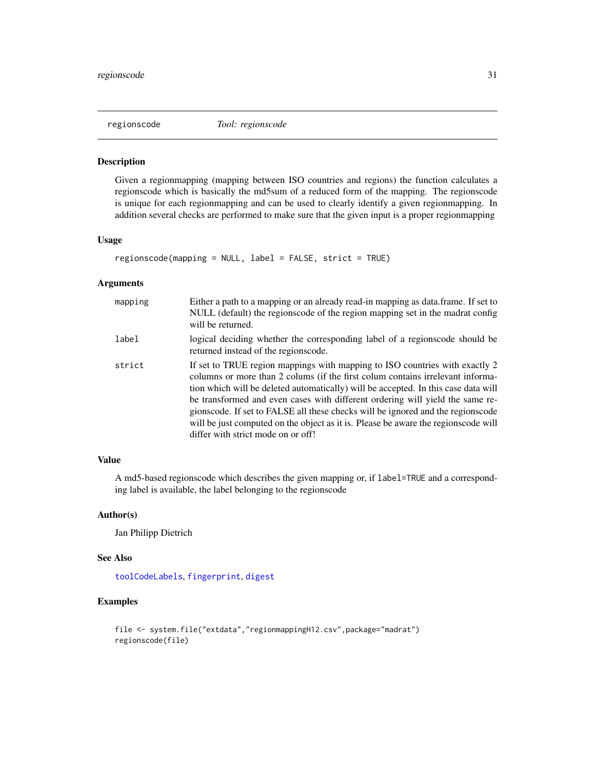<span id="page-30-1"></span><span id="page-30-0"></span>

#### Description

Given a regionmapping (mapping between ISO countries and regions) the function calculates a regionscode which is basically the md5sum of a reduced form of the mapping. The regionscode is unique for each regionmapping and can be used to clearly identify a given regionmapping. In addition several checks are performed to make sure that the given input is a proper regionmapping

## Usage

```
regionscode(mapping = NULL, label = FALSE, strict = TRUE)
```
## Arguments

| mapping | Either a path to a mapping or an already read-in mapping as data.frame. If set to<br>NULL (default) the regionscode of the region mapping set in the madrat config<br>will be returned.                                                                                                                                                                                                                                                                                                                                                             |
|---------|-----------------------------------------------------------------------------------------------------------------------------------------------------------------------------------------------------------------------------------------------------------------------------------------------------------------------------------------------------------------------------------------------------------------------------------------------------------------------------------------------------------------------------------------------------|
| label   | logical deciding whether the corresponding label of a regionscode should be<br>returned instead of the regionscode.                                                                                                                                                                                                                                                                                                                                                                                                                                 |
| strict  | If set to TRUE region mappings with mapping to ISO countries with exactly 2<br>columns or more than 2 colums (if the first colum contains irrelevant informa-<br>tion which will be deleted automatically) will be accepted. In this case data will<br>be transformed and even cases with different ordering will yield the same re-<br>gionscode. If set to FALSE all these checks will be ignored and the regionscode<br>will be just computed on the object as it is. Please be aware the regionscode will<br>differ with strict mode on or off! |

## Value

A md5-based regionscode which describes the given mapping or, if label=TRUE and a corresponding label is available, the label belonging to the regionscode

#### Author(s)

Jan Philipp Dietrich

## See Also

[toolCodeLabels](#page-38-1), [fingerprint](#page-13-1), [digest](#page-0-0)

```
file <- system.file("extdata","regionmappingH12.csv",package="madrat")
regionscode(file)
```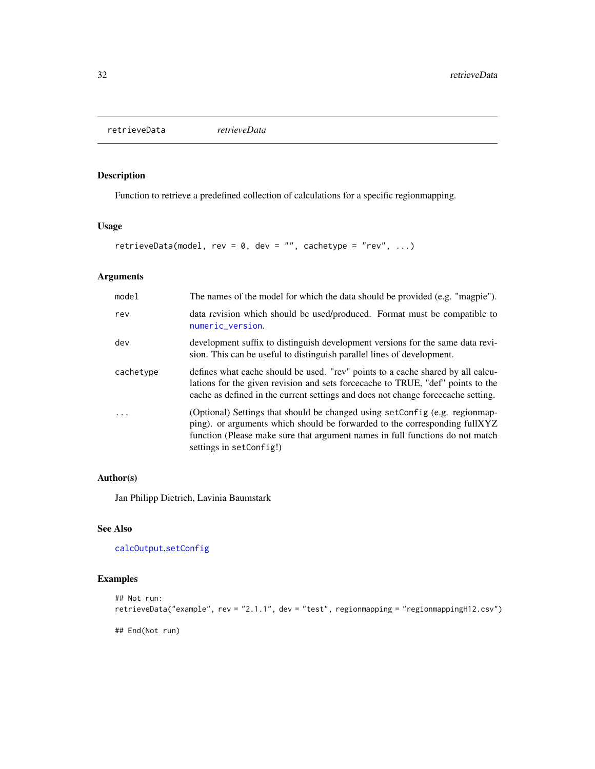<span id="page-31-0"></span>retrieveData *retrieveData*

## Description

Function to retrieve a predefined collection of calculations for a specific regionmapping.

#### Usage

```
retrieveData(model, rev = 0, dev = "", cachetype = "rev", ...)
```
## Arguments

| model     | The names of the model for which the data should be provided (e.g. "magpie").                                                                                                                                                                                         |
|-----------|-----------------------------------------------------------------------------------------------------------------------------------------------------------------------------------------------------------------------------------------------------------------------|
| rev       | data revision which should be used/produced. Format must be compatible to<br>numeric_version.                                                                                                                                                                         |
| dev       | development suffix to distinguish development versions for the same data revi-<br>sion. This can be useful to distinguish parallel lines of development.                                                                                                              |
| cachetype | defines what cache should be used. "rev" points to a cache shared by all calcu-<br>lations for the given revision and sets force cache to TRUE, "def" points to the<br>cache as defined in the current settings and does not change force cache setting.              |
| .         | (Optional) Settings that should be changed using setConfig (e.g. regionmap-<br>ping). or arguments which should be forwarded to the corresponding fullXYZ<br>function (Please make sure that argument names in full functions do not match<br>settings in setConfig!) |

## Author(s)

Jan Philipp Dietrich, Lavinia Baumstark

## See Also

[calcOutput](#page-7-1),[setConfig](#page-32-1)

```
## Not run:
retrieveData("example", rev = "2.1.1", dev = "test", regionmapping = "regionmappingH12.csv")
## End(Not run)
```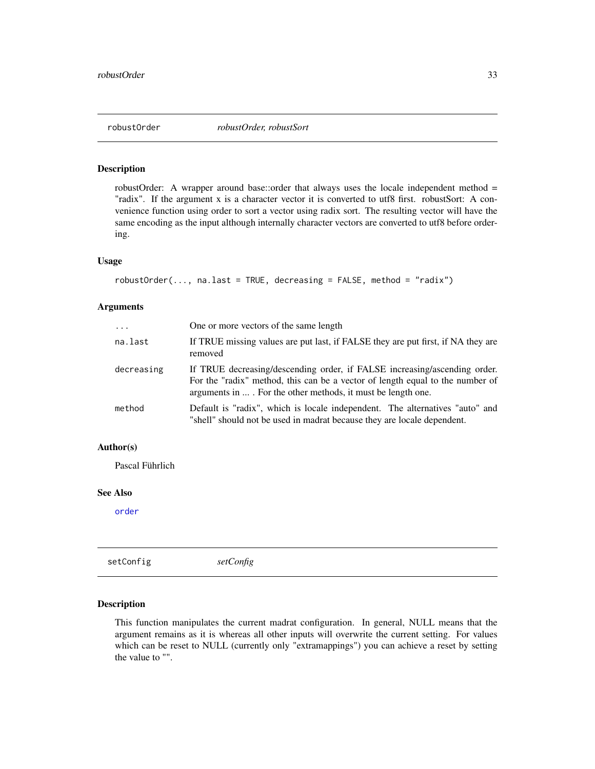<span id="page-32-0"></span>

#### Description

robustOrder: A wrapper around base::order that always uses the locale independent method = "radix". If the argument x is a character vector it is converted to utf8 first. robustSort: A convenience function using order to sort a vector using radix sort. The resulting vector will have the same encoding as the input although internally character vectors are converted to utf8 before ordering.

#### Usage

```
robustOrder(..., na.last = TRUE, decreasing = FALSE, method = "radix")
```
#### Arguments

| $\ddots$   | One or more vectors of the same length                                                                                                                                                                                    |
|------------|---------------------------------------------------------------------------------------------------------------------------------------------------------------------------------------------------------------------------|
| na.last    | If TRUE missing values are put last, if FALSE they are put first, if NA they are<br>removed                                                                                                                               |
| decreasing | If TRUE decreasing/descending order, if FALSE increasing/ascending order.<br>For the "radix" method, this can be a vector of length equal to the number of<br>arguments in  For the other methods, it must be length one. |
| method     | Default is "radix", which is locale independent. The alternatives "auto" and<br>"shell" should not be used in madrat because they are locale dependent.                                                                   |

#### Author(s)

Pascal Führlich

#### See Also

[order](#page-0-0)

<span id="page-32-1"></span>setConfig *setConfig*

#### Description

This function manipulates the current madrat configuration. In general, NULL means that the argument remains as it is whereas all other inputs will overwrite the current setting. For values which can be reset to NULL (currently only "extramappings") you can achieve a reset by setting the value to "".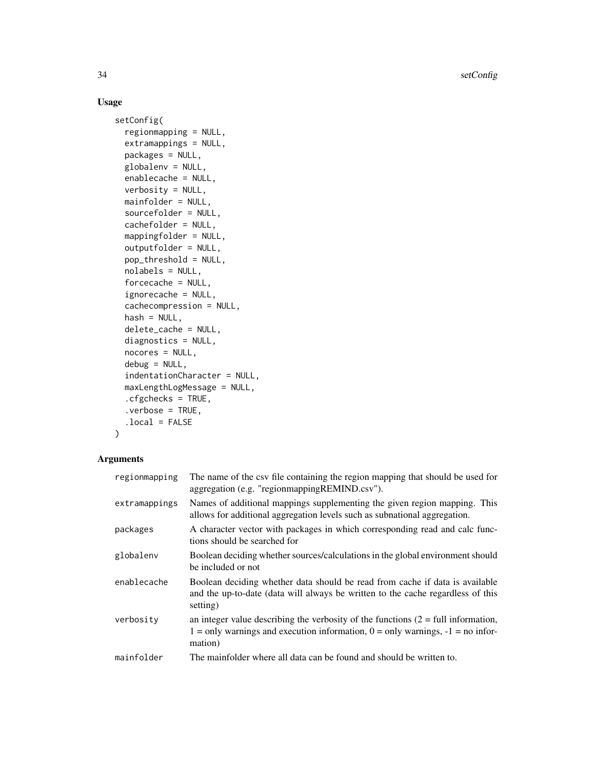34 setConfig

## Usage

```
setConfig(
  regionmapping = NULL,
  extramappings = NULL,
 packages = NULL,
  globalenv = NULL,
  enablecache = NULL,
  verbosity = NULL,
 mainfolder = NULL,
  sourcefolder = NULL,
  cachefolder = NULL,
 mappingfolder = NULL,
  outputfolder = NULL,
 pop_threshold = NULL,
  nolabels = NULL,
  forcecache = NULL,
  ignorecache = NULL,
  cachecompression = NULL,
  hash = NULL,delete_cache = NULL,
  diagnostics = NULL,
  nocores = NULL,
  debug = NULL,indentationCharacter = NULL,
  maxLengthLogMessage = NULL,
  .cfgchecks = TRUE,
  .verbose = TRUE,
  .local = FALSE
\mathcal{L}
```
## Arguments

| regionmapping | The name of the csv file containing the region mapping that should be used for<br>aggregation (e.g. "regionmappingREMIND.csv").                                                        |
|---------------|----------------------------------------------------------------------------------------------------------------------------------------------------------------------------------------|
| extramappings | Names of additional mappings supplementing the given region mapping. This<br>allows for additional aggregation levels such as subnational aggregation.                                 |
| packages      | A character vector with packages in which corresponding read and calc func-<br>tions should be searched for                                                                            |
| globalenv     | Boolean deciding whether sources/calculations in the global environment should<br>be included or not                                                                                   |
| enablecache   | Boolean deciding whether data should be read from cache if data is available<br>and the up-to-date (data will always be written to the cache regardless of this<br>setting)            |
| verbosity     | an integer value describing the verbosity of the functions $(2 = full information,$<br>$1 =$ only warnings and execution information, $0 =$ only warnings, $-1 =$ no infor-<br>mation) |
| mainfolder    | The mainfolder where all data can be found and should be written to.                                                                                                                   |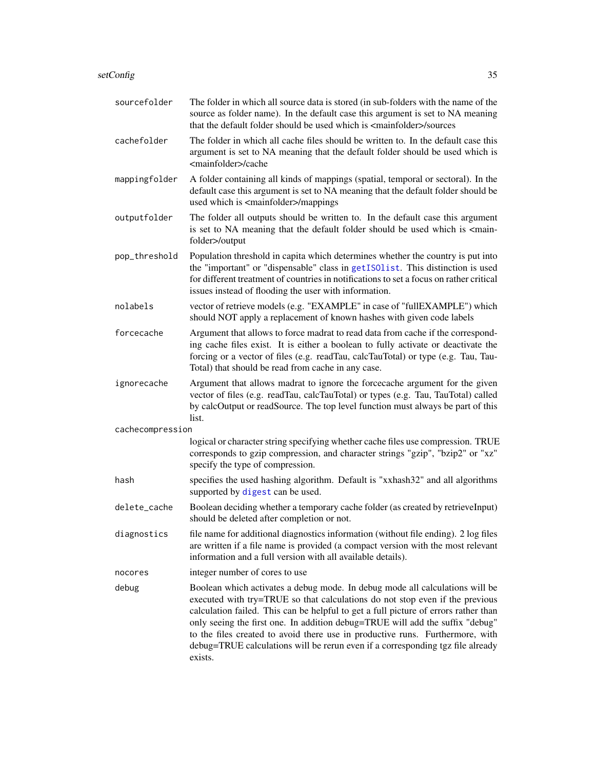<span id="page-34-0"></span>

| sourcefolder     | The folder in which all source data is stored (in sub-folders with the name of the<br>source as folder name). In the default case this argument is set to NA meaning<br>that the default folder should be used which is <mainfolder>/sources</mainfolder>                                                                                                                                                                                                                                                          |
|------------------|--------------------------------------------------------------------------------------------------------------------------------------------------------------------------------------------------------------------------------------------------------------------------------------------------------------------------------------------------------------------------------------------------------------------------------------------------------------------------------------------------------------------|
| cachefolder      | The folder in which all cache files should be written to. In the default case this<br>argument is set to NA meaning that the default folder should be used which is<br><mainfolder>/cache</mainfolder>                                                                                                                                                                                                                                                                                                             |
| mappingfolder    | A folder containing all kinds of mappings (spatial, temporal or sectoral). In the<br>default case this argument is set to NA meaning that the default folder should be<br>used which is <mainfolder>/mappings</mainfolder>                                                                                                                                                                                                                                                                                         |
| outputfolder     | The folder all outputs should be written to. In the default case this argument<br>is set to NA meaning that the default folder should be used which is <main-<br>folder&gt;/output</main-<br>                                                                                                                                                                                                                                                                                                                      |
| pop_threshold    | Population threshold in capita which determines whether the country is put into<br>the "important" or "dispensable" class in getISOlist. This distinction is used<br>for different treatment of countries in notifications to set a focus on rather critical<br>issues instead of flooding the user with information.                                                                                                                                                                                              |
| nolabels         | vector of retrieve models (e.g. "EXAMPLE" in case of "fullEXAMPLE") which<br>should NOT apply a replacement of known hashes with given code labels                                                                                                                                                                                                                                                                                                                                                                 |
| forcecache       | Argument that allows to force madrat to read data from cache if the correspond-<br>ing cache files exist. It is either a boolean to fully activate or deactivate the<br>forcing or a vector of files (e.g. readTau, calcTauTotal) or type (e.g. Tau, Tau-<br>Total) that should be read from cache in any case.                                                                                                                                                                                                    |
| ignorecache      | Argument that allows madrat to ignore the forcecache argument for the given<br>vector of files (e.g. readTau, calcTauTotal) or types (e.g. Tau, TauTotal) called<br>by calcOutput or readSource. The top level function must always be part of this<br>list.                                                                                                                                                                                                                                                       |
| cachecompression |                                                                                                                                                                                                                                                                                                                                                                                                                                                                                                                    |
|                  | logical or character string specifying whether cache files use compression. TRUE<br>corresponds to gzip compression, and character strings "gzip", "bzip2" or "xz"<br>specify the type of compression.                                                                                                                                                                                                                                                                                                             |
| hash             | specifies the used hashing algorithm. Default is "xxhash32" and all algorithms<br>supported by digest can be used.                                                                                                                                                                                                                                                                                                                                                                                                 |
| delete_cache     | Boolean deciding whether a temporary cache folder (as created by retrieveInput)<br>should be deleted after completion or not.                                                                                                                                                                                                                                                                                                                                                                                      |
| diagnostics      | file name for additional diagnostics information (without file ending). 2 log files<br>are written if a file name is provided (a compact version with the most relevant<br>information and a full version with all available details).                                                                                                                                                                                                                                                                             |
| nocores          | integer number of cores to use                                                                                                                                                                                                                                                                                                                                                                                                                                                                                     |
| debug            | Boolean which activates a debug mode. In debug mode all calculations will be<br>executed with try=TRUE so that calculations do not stop even if the previous<br>calculation failed. This can be helpful to get a full picture of errors rather than<br>only seeing the first one. In addition debug=TRUE will add the suffix "debug"<br>to the files created to avoid there use in productive runs. Furthermore, with<br>debug=TRUE calculations will be rerun even if a corresponding tgz file already<br>exists. |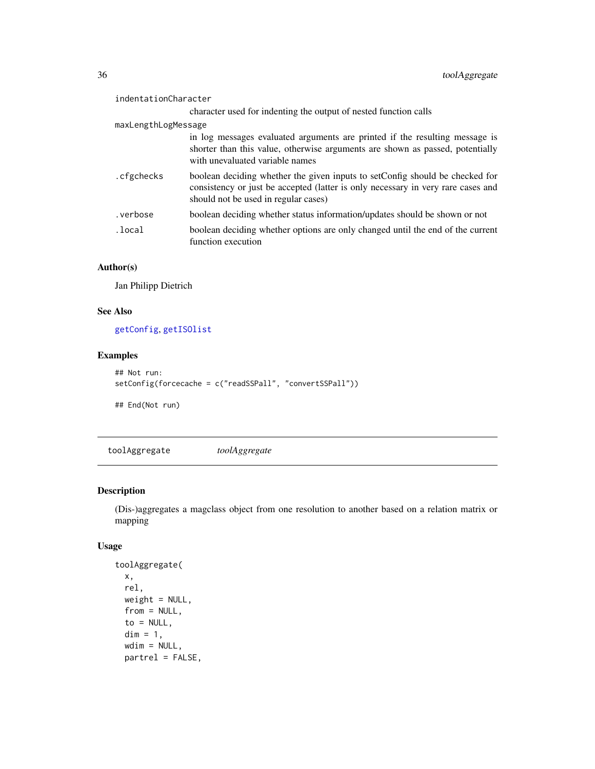<span id="page-35-0"></span>

| indentationCharacter |                                                                                                                                                                                                          |
|----------------------|----------------------------------------------------------------------------------------------------------------------------------------------------------------------------------------------------------|
|                      | character used for indenting the output of nested function calls                                                                                                                                         |
| maxLengthLogMessage  |                                                                                                                                                                                                          |
|                      | in log messages evaluated arguments are printed if the resulting message is<br>shorter than this value, otherwise arguments are shown as passed, potentially<br>with unevaluated variable names          |
| .cfgchecks           | boolean deciding whether the given inputs to setConfig should be checked for<br>consistency or just be accepted (latter is only necessary in very rare cases and<br>should not be used in regular cases) |
| verbose.             | boolean deciding whether status information/updates should be shown or not                                                                                                                               |
| .local               | boolean deciding whether options are only changed until the end of the current<br>function execution                                                                                                     |

## Author(s)

Jan Philipp Dietrich

## See Also

[getConfig](#page-17-1), [getISOlist](#page-19-1)

## Examples

```
## Not run:
setConfig(forcecache = c("readSSPall", "convertSSPall"))
```
## End(Not run)

toolAggregate *toolAggregate*

## Description

(Dis-)aggregates a magclass object from one resolution to another based on a relation matrix or mapping

## Usage

```
toolAggregate(
 x,
 rel,
 weight = NULL,from = NULL,
 to = NULL,
 dim = 1,
 wdim = NULL,
 partrel = FALSE,
```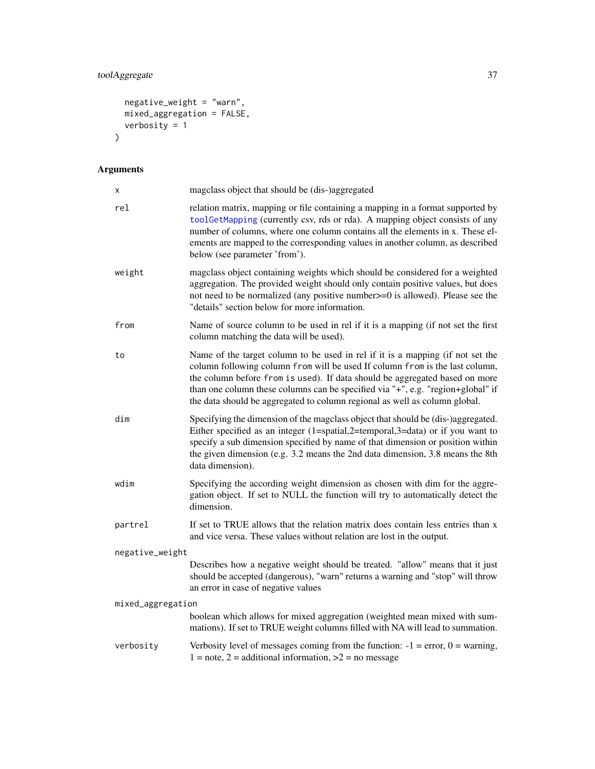## <span id="page-36-0"></span>toolAggregate 37

```
negative_weight = "warn",
  mixed_aggregation = FALSE,
  verbosity = 1\mathcal{L}
```
## Arguments

| $\pmb{\times}$    | magclass object that should be (dis-)aggregated                                                                                                                                                                                                                                                                                                                                                                |  |
|-------------------|----------------------------------------------------------------------------------------------------------------------------------------------------------------------------------------------------------------------------------------------------------------------------------------------------------------------------------------------------------------------------------------------------------------|--|
| rel               | relation matrix, mapping or file containing a mapping in a format supported by<br>toolGetMapping (currently csv, rds or rda). A mapping object consists of any<br>number of columns, where one column contains all the elements in x. These el-<br>ements are mapped to the corresponding values in another column, as described<br>below (see parameter 'from').                                              |  |
| weight            | magclass object containing weights which should be considered for a weighted<br>aggregation. The provided weight should only contain positive values, but does<br>not need to be normalized (any positive number >= 0 is allowed). Please see the<br>"details" section below for more information.                                                                                                             |  |
| from              | Name of source column to be used in rel if it is a mapping (if not set the first<br>column matching the data will be used).                                                                                                                                                                                                                                                                                    |  |
| to                | Name of the target column to be used in rel if it is a mapping (if not set the<br>column following column from will be used If column from is the last column,<br>the column before from is used). If data should be aggregated based on more<br>than one column these columns can be specified via "+", e.g. "region+global" if<br>the data should be aggregated to column regional as well as column global. |  |
| dim               | Specifying the dimension of the magclass object that should be (dis-)aggregated.<br>Either specified as an integer $(1=spatial,2=temporal,3=data)$ or if you want to<br>specify a sub dimension specified by name of that dimension or position within<br>the given dimension (e.g. 3.2 means the 2nd data dimension, 3.8 means the 8th<br>data dimension).                                                    |  |
| wdim              | Specifying the according weight dimension as chosen with dim for the aggre-<br>gation object. If set to NULL the function will try to automatically detect the<br>dimension.                                                                                                                                                                                                                                   |  |
| partrel           | If set to TRUE allows that the relation matrix does contain less entries than x<br>and vice versa. These values without relation are lost in the output.                                                                                                                                                                                                                                                       |  |
| negative_weight   |                                                                                                                                                                                                                                                                                                                                                                                                                |  |
|                   | Describes how a negative weight should be treated. "allow" means that it just<br>should be accepted (dangerous), "warn" returns a warning and "stop" will throw<br>an error in case of negative values                                                                                                                                                                                                         |  |
| mixed_aggregation |                                                                                                                                                                                                                                                                                                                                                                                                                |  |
|                   | boolean which allows for mixed aggregation (weighted mean mixed with sum-<br>mations). If set to TRUE weight columns filled with NA will lead to summation.                                                                                                                                                                                                                                                    |  |
| verbosity         | Verbosity level of messages coming from the function: $-1$ = error, $0$ = warning,<br>$1 =$ note, $2 =$ additional information, $>2 =$ no message                                                                                                                                                                                                                                                              |  |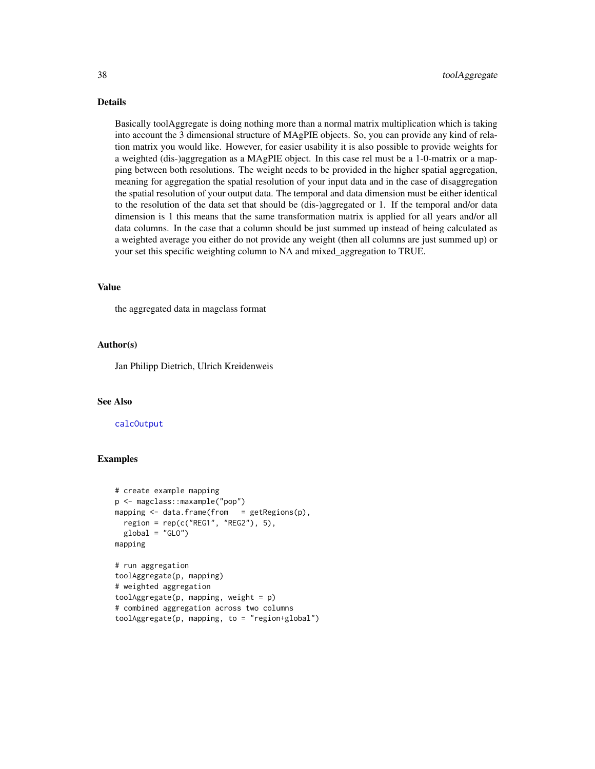## Details

Basically toolAggregate is doing nothing more than a normal matrix multiplication which is taking into account the 3 dimensional structure of MAgPIE objects. So, you can provide any kind of relation matrix you would like. However, for easier usability it is also possible to provide weights for a weighted (dis-)aggregation as a MAgPIE object. In this case rel must be a 1-0-matrix or a mapping between both resolutions. The weight needs to be provided in the higher spatial aggregation, meaning for aggregation the spatial resolution of your input data and in the case of disaggregation the spatial resolution of your output data. The temporal and data dimension must be either identical to the resolution of the data set that should be (dis-)aggregated or 1. If the temporal and/or data dimension is 1 this means that the same transformation matrix is applied for all years and/or all data columns. In the case that a column should be just summed up instead of being calculated as a weighted average you either do not provide any weight (then all columns are just summed up) or your set this specific weighting column to NA and mixed\_aggregation to TRUE.

#### Value

the aggregated data in magclass format

#### Author(s)

Jan Philipp Dietrich, Ulrich Kreidenweis

#### See Also

[calcOutput](#page-7-1)

```
# create example mapping
p <- magclass::maxample("pop")
mapping \leq data.frame(from = getRegions(p),
 region = rep(c("REG1", "REG2"), 5),
 global = "GLO")mapping
# run aggregation
toolAggregate(p, mapping)
# weighted aggregation
toolAggregate(p, mapping, weight = p)
# combined aggregation across two columns
toolAggregate(p, mapping, to = "region+global")
```
<span id="page-37-0"></span>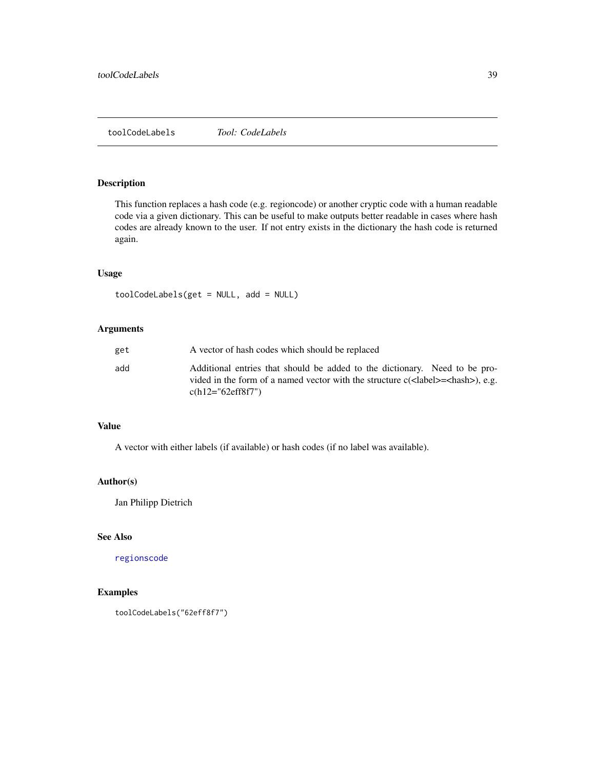<span id="page-38-1"></span><span id="page-38-0"></span>toolCodeLabels *Tool: CodeLabels*

## Description

This function replaces a hash code (e.g. regioncode) or another cryptic code with a human readable code via a given dictionary. This can be useful to make outputs better readable in cases where hash codes are already known to the user. If not entry exists in the dictionary the hash code is returned again.

#### Usage

toolCodeLabels(get = NULL, add = NULL)

## Arguments

| get | A vector of hash codes which should be replaced                                                                                                                                                                                     |
|-----|-------------------------------------------------------------------------------------------------------------------------------------------------------------------------------------------------------------------------------------|
| add | Additional entries that should be added to the dictionary. Need to be pro-<br>vided in the form of a named vector with the structure $c(\langle \text{label} \rangle = \langle \text{hash} \rangle)$ , e.g.<br>$c(h12=" 62eff8f7")$ |

#### Value

A vector with either labels (if available) or hash codes (if no label was available).

#### Author(s)

Jan Philipp Dietrich

## See Also

[regionscode](#page-30-1)

```
toolCodeLabels("62eff8f7")
```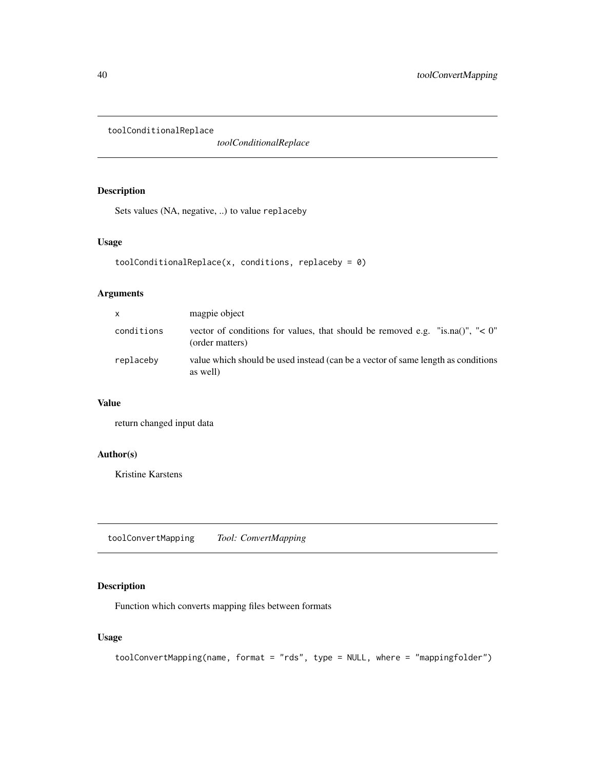<span id="page-39-0"></span>toolConditionalReplace

*toolConditionalReplace*

## Description

Sets values (NA, negative, ..) to value replaceby

#### Usage

```
toolConditionalReplace(x, conditions, replaceby = \theta)
```
## Arguments

| X          | magpie object                                                                                    |
|------------|--------------------------------------------------------------------------------------------------|
| conditions | vector of conditions for values, that should be removed e.g. "is.na()", "< 0"<br>(order matters) |
| replaceby  | value which should be used instead (can be a vector of same length as conditions<br>as well)     |

## Value

return changed input data

## Author(s)

Kristine Karstens

<span id="page-39-1"></span>toolConvertMapping *Tool: ConvertMapping*

## Description

Function which converts mapping files between formats

#### Usage

```
toolConvertMapping(name, format = "rds", type = NULL, where = "mappingfolder")
```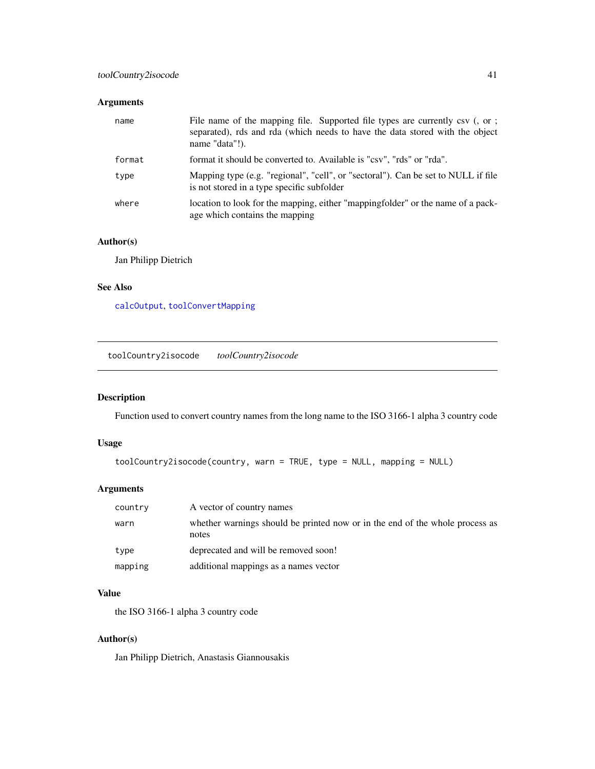## <span id="page-40-0"></span>Arguments

| name   | File name of the mapping file. Supported file types are currently csv (, or ;<br>separated), rds and rda (which needs to have the data stored with the object<br>name "data"!). |
|--------|---------------------------------------------------------------------------------------------------------------------------------------------------------------------------------|
| format | format it should be converted to. Available is "csv", "rds" or "rda".                                                                                                           |
| type   | Mapping type (e.g. "regional", "cell", or "sectoral"). Can be set to NULL if file<br>is not stored in a type specific subfolder                                                 |
| where  | location to look for the mapping, either "mappingfolder" or the name of a pack-<br>age which contains the mapping                                                               |

## Author(s)

Jan Philipp Dietrich

#### See Also

[calcOutput](#page-7-1), [toolConvertMapping](#page-39-1)

toolCountry2isocode *toolCountry2isocode*

## Description

Function used to convert country names from the long name to the ISO 3166-1 alpha 3 country code

## Usage

```
toolCountry2isocode(country, warn = TRUE, type = NULL, mapping = NULL)
```
## Arguments

| country | A vector of country names                                                             |
|---------|---------------------------------------------------------------------------------------|
| warn    | whether warnings should be printed now or in the end of the whole process as<br>notes |
| type    | deprecated and will be removed soon!                                                  |
| mapping | additional mappings as a names vector                                                 |

## Value

the ISO 3166-1 alpha 3 country code

## Author(s)

Jan Philipp Dietrich, Anastasis Giannousakis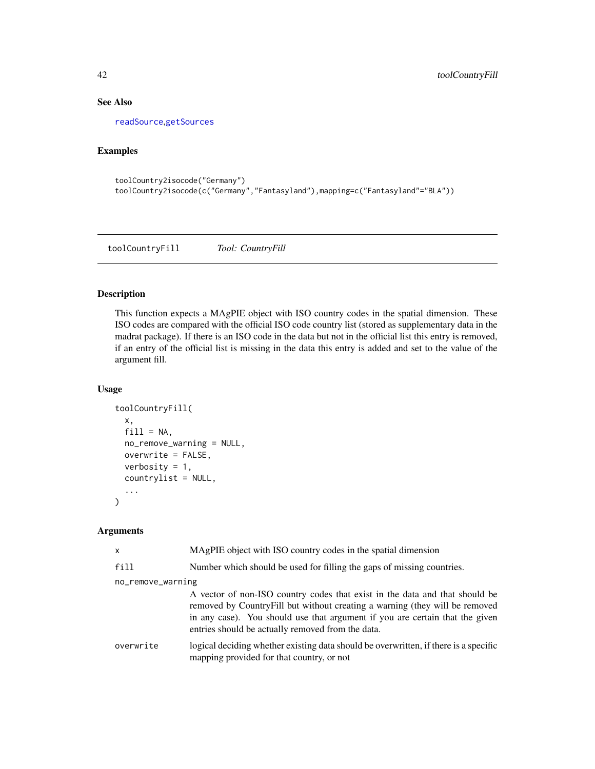## See Also

[readSource](#page-28-1),[getSources](#page-23-1)

## Examples

```
toolCountry2isocode("Germany")
toolCountry2isocode(c("Germany","Fantasyland"),mapping=c("Fantasyland"="BLA"))
```
toolCountryFill *Tool: CountryFill*

## Description

This function expects a MAgPIE object with ISO country codes in the spatial dimension. These ISO codes are compared with the official ISO code country list (stored as supplementary data in the madrat package). If there is an ISO code in the data but not in the official list this entry is removed, if an entry of the official list is missing in the data this entry is added and set to the value of the argument fill.

## Usage

```
toolCountryFill(
  x,
 fill = NA,no_remove_warning = NULL,
 overwrite = FALSE,
 verbosity = 1,
  countrylist = NULL,
  ...
)
```
## Arguments

| X                 | MAgPIE object with ISO country codes in the spatial dimension                                                                                                                                                                                                                                   |  |
|-------------------|-------------------------------------------------------------------------------------------------------------------------------------------------------------------------------------------------------------------------------------------------------------------------------------------------|--|
| fill              | Number which should be used for filling the gaps of missing countries.                                                                                                                                                                                                                          |  |
| no_remove_warning |                                                                                                                                                                                                                                                                                                 |  |
|                   | A vector of non-ISO country codes that exist in the data and that should be<br>removed by CountryFill but without creating a warning (they will be removed<br>in any case). You should use that argument if you are certain that the given<br>entries should be actually removed from the data. |  |
| overwrite         | logical deciding whether existing data should be overwritten, if there is a specific<br>mapping provided for that country, or not                                                                                                                                                               |  |

<span id="page-41-0"></span>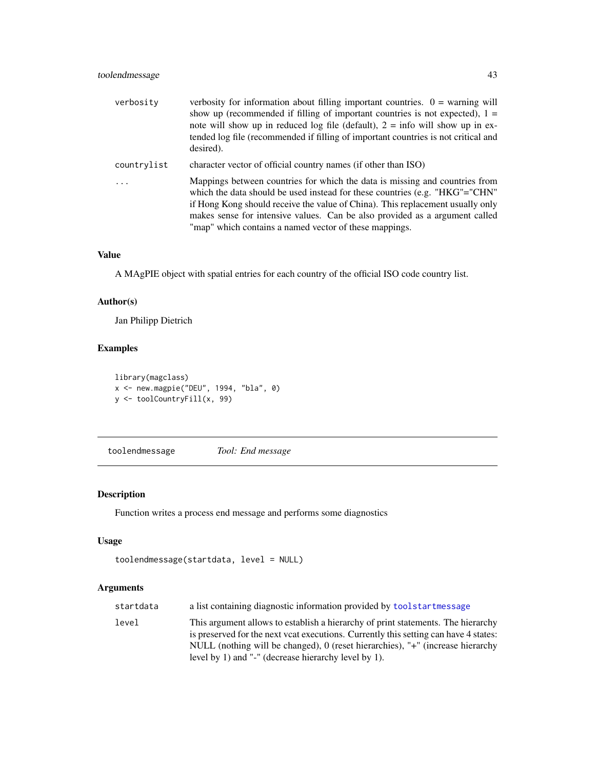<span id="page-42-0"></span>

| verbosity   | verbosity for information about filling important countries. $0 =$ warning will<br>show up (recommended if filling of important countries is not expected), $1 =$<br>note will show up in reduced log file (default), $2 =$ info will show up in ex-<br>tended log file (recommended if filling of important countries is not critical and<br>desired).                                     |
|-------------|---------------------------------------------------------------------------------------------------------------------------------------------------------------------------------------------------------------------------------------------------------------------------------------------------------------------------------------------------------------------------------------------|
| countrylist | character vector of official country names (if other than ISO)                                                                                                                                                                                                                                                                                                                              |
|             | Mappings between countries for which the data is missing and countries from<br>which the data should be used instead for these countries (e.g. " $HKG'' = "CHN"$<br>if Hong Kong should receive the value of China). This replacement usually only<br>makes sense for intensive values. Can be also provided as a argument called<br>"map" which contains a named vector of these mappings. |

## Value

A MAgPIE object with spatial entries for each country of the official ISO code country list.

## Author(s)

Jan Philipp Dietrich

## Examples

```
library(magclass)
x <- new.magpie("DEU", 1994, "bla", 0)
y <- toolCountryFill(x, 99)
```
<span id="page-42-1"></span>toolendmessage *Tool: End message*

## Description

Function writes a process end message and performs some diagnostics

## Usage

```
toolendmessage(startdata, level = NULL)
```
## Arguments

| startdata | a list containing diagnostic information provided by toolstartmessage                                                                                                                                                                                                                                              |
|-----------|--------------------------------------------------------------------------------------------------------------------------------------------------------------------------------------------------------------------------------------------------------------------------------------------------------------------|
| level     | This argument allows to establish a hierarchy of print statements. The hierarchy<br>is preserved for the next vcat executions. Currently this setting can have 4 states:<br>NULL (nothing will be changed), 0 (reset hierarchies), "+" (increase hierarchy<br>level by 1) and "-" (decrease hierarchy level by 1). |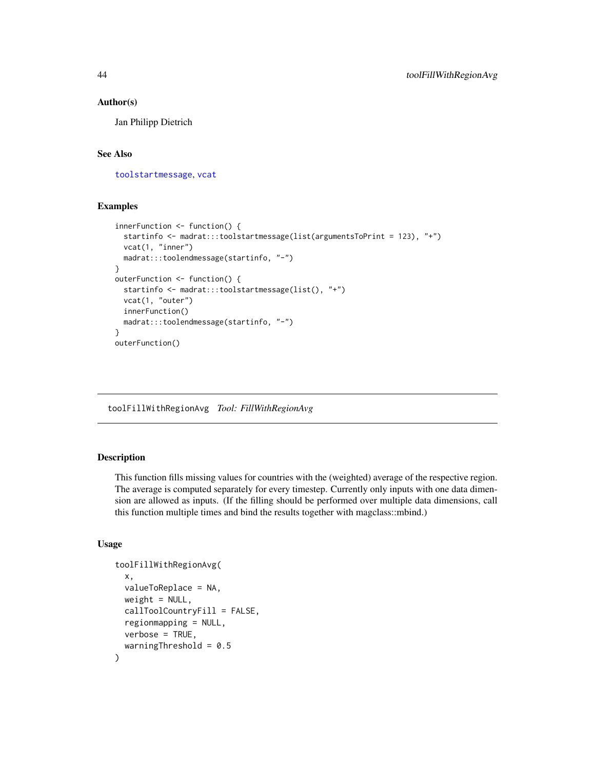#### Author(s)

Jan Philipp Dietrich

## See Also

[toolstartmessage](#page-50-1), [vcat](#page-54-1)

#### Examples

```
innerFunction <- function() {
  startinfo <- madrat:::toolstartmessage(list(argumentsToPrint = 123), "+")
  vcat(1, "inner")
  madrat:::toolendmessage(startinfo, "-")
}
outerFunction <- function() {
  startinfo <- madrat:::toolstartmessage(list(), "+")
  vcat(1, "outer")
  innerFunction()
  madrat:::toolendmessage(startinfo, "-")
}
outerFunction()
```
toolFillWithRegionAvg *Tool: FillWithRegionAvg*

## Description

This function fills missing values for countries with the (weighted) average of the respective region. The average is computed separately for every timestep. Currently only inputs with one data dimension are allowed as inputs. (If the filling should be performed over multiple data dimensions, call this function multiple times and bind the results together with magclass::mbind.)

## Usage

```
toolFillWithRegionAvg(
  x,
  valueToReplace = NA,
 weight = NULL,
  callToolCountryFill = FALSE,
  regionmapping = NULL,
 verbose = TRUE,
  warningThreshold = 0.5
)
```
<span id="page-43-0"></span>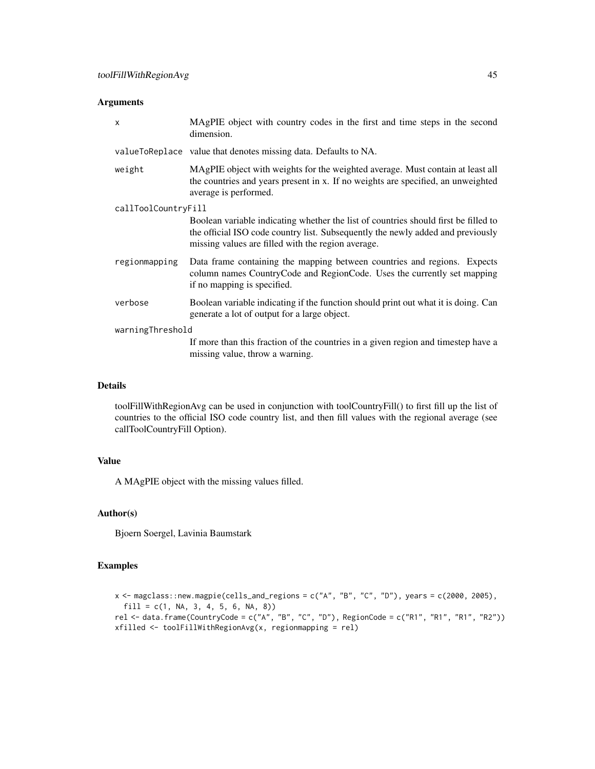#### Arguments

| X                   | MAgPIE object with country codes in the first and time steps in the second<br>dimension.                                                                                                                                     |  |
|---------------------|------------------------------------------------------------------------------------------------------------------------------------------------------------------------------------------------------------------------------|--|
|                     | valueToReplace value that denotes missing data. Defaults to NA.                                                                                                                                                              |  |
| weight              | MAgPIE object with weights for the weighted average. Must contain at least all<br>the countries and years present in x. If no weights are specified, an unweighted<br>average is performed.                                  |  |
| callToolCountryFill |                                                                                                                                                                                                                              |  |
|                     | Boolean variable indicating whether the list of countries should first be filled to<br>the official ISO code country list. Subsequently the newly added and previously<br>missing values are filled with the region average. |  |
| regionmapping       | Data frame containing the mapping between countries and regions. Expects<br>column names CountryCode and RegionCode. Uses the currently set mapping<br>if no mapping is specified.                                           |  |
| verbose             | Boolean variable indicating if the function should print out what it is doing. Can<br>generate a lot of output for a large object.                                                                                           |  |
| warningThreshold    |                                                                                                                                                                                                                              |  |
|                     | If more than this fraction of the countries in a given region and timestep have a<br>missing value, throw a warning.                                                                                                         |  |

## Details

toolFillWithRegionAvg can be used in conjunction with toolCountryFill() to first fill up the list of countries to the official ISO code country list, and then fill values with the regional average (see callToolCountryFill Option).

## Value

A MAgPIE object with the missing values filled.

## Author(s)

Bjoern Soergel, Lavinia Baumstark

```
x \leftarrow magclass::new.magpie(cells_and_regions = c("A", "B", "C", "D"), years = c(2000, 2005),
 fill = c(1, NA, 3, 4, 5, 6, NA, 8))rel \le- data.frame(CountryCode = c("A", "B", "C", "D"), RegionCode = c("R1", "R1", "R1", "R2"))
xfilled <- toolFillWithRegionAvg(x, regionmapping = rel)
```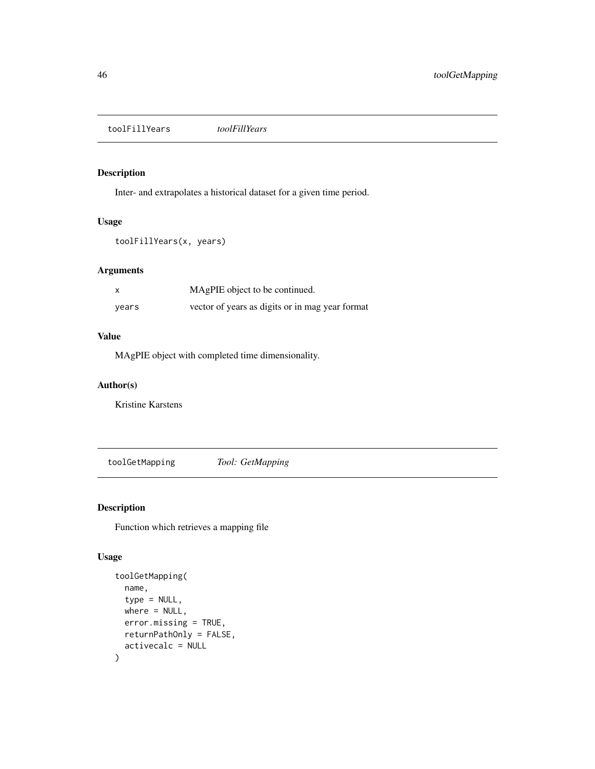<span id="page-45-0"></span>toolFillYears *toolFillYears*

## Description

Inter- and extrapolates a historical dataset for a given time period.

## Usage

toolFillYears(x, years)

## Arguments

| $\times$ | MAgPIE object to be continued.                  |
|----------|-------------------------------------------------|
| years    | vector of years as digits or in mag year format |

## Value

MAgPIE object with completed time dimensionality.

#### Author(s)

Kristine Karstens

<span id="page-45-1"></span>toolGetMapping *Tool: GetMapping*

#### Description

Function which retrieves a mapping file

## Usage

```
toolGetMapping(
  name,
  type = NULL,
 where = NULL,
 error.missing = TRUE,
 returnPathOnly = FALSE,
  activecalc = NULL
)
```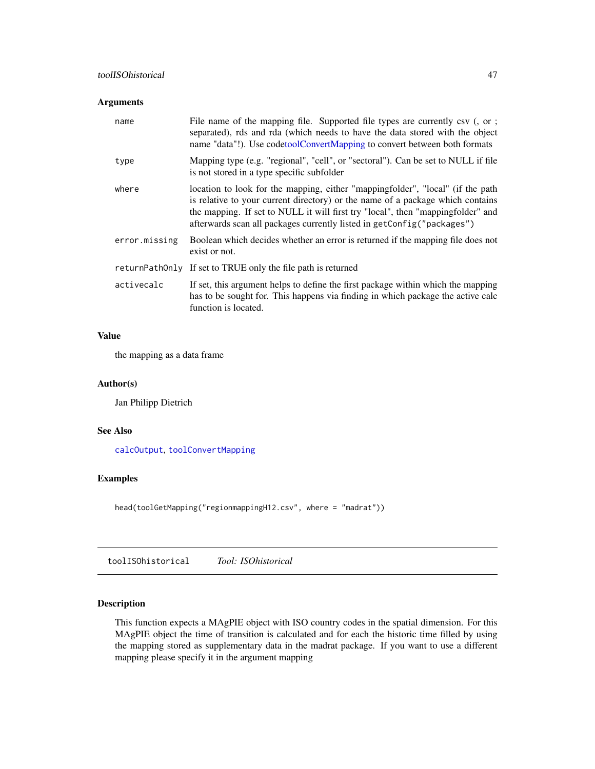## <span id="page-46-0"></span>Arguments

| name          | File name of the mapping file. Supported file types are currently csv (, or ;<br>separated), rds and rda (which needs to have the data stored with the object<br>name "data"!). Use codetoolConvertMapping to convert between both formats                                                                                    |
|---------------|-------------------------------------------------------------------------------------------------------------------------------------------------------------------------------------------------------------------------------------------------------------------------------------------------------------------------------|
| type          | Mapping type (e.g. "regional", "cell", or "sectoral"). Can be set to NULL if file<br>is not stored in a type specific subfolder                                                                                                                                                                                               |
| where         | location to look for the mapping, either "mappingfolder", "local" (if the path<br>is relative to your current directory) or the name of a package which contains<br>the mapping. If set to NULL it will first try "local", then "mappingfolder" and<br>afterwards scan all packages currently listed in getConfig("packages") |
| error.missing | Boolean which decides whether an error is returned if the mapping file does not<br>exist or not.                                                                                                                                                                                                                              |
|               | returnPathOnly If set to TRUE only the file path is returned                                                                                                                                                                                                                                                                  |
| activecalc    | If set, this argument helps to define the first package within which the mapping<br>has to be sought for. This happens via finding in which package the active calc<br>function is located.                                                                                                                                   |

## Value

the mapping as a data frame

## Author(s)

Jan Philipp Dietrich

#### See Also

[calcOutput](#page-7-1), [toolConvertMapping](#page-39-1)

## Examples

head(toolGetMapping("regionmappingH12.csv", where = "madrat"))

toolISOhistorical *Tool: ISOhistorical*

## Description

This function expects a MAgPIE object with ISO country codes in the spatial dimension. For this MAgPIE object the time of transition is calculated and for each the historic time filled by using the mapping stored as supplementary data in the madrat package. If you want to use a different mapping please specify it in the argument mapping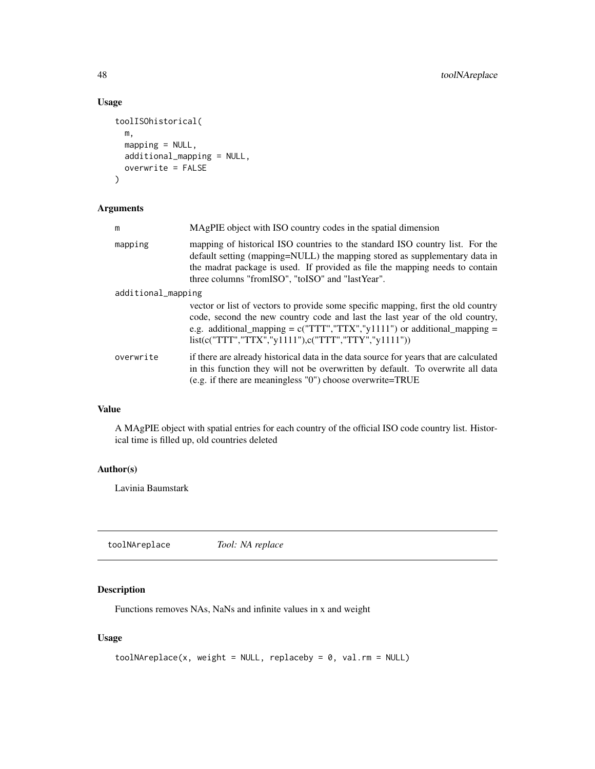## Usage

```
toolISOhistorical(
  m,
 mapping = NULL,
  additional_mapping = NULL,
 overwrite = FALSE
)
```
## Arguments

| m                  | MAgPIE object with ISO country codes in the spatial dimension                                                                                                                                                                                                                                                   |
|--------------------|-----------------------------------------------------------------------------------------------------------------------------------------------------------------------------------------------------------------------------------------------------------------------------------------------------------------|
| mapping            | mapping of historical ISO countries to the standard ISO country list. For the<br>default setting (mapping=NULL) the mapping stored as supplementary data in<br>the madrat package is used. If provided as file the mapping needs to contain<br>three columns "from SO", "to ISO" and "last Year".               |
| additional_mapping |                                                                                                                                                                                                                                                                                                                 |
|                    | vector or list of vectors to provide some specific mapping, first the old country<br>code, second the new country code and last the last year of the old country,<br>e.g. additional_mapping = $c("TTT", "TTX", "y1111")$ or additional_mapping =<br>$list(c("TTT", "TTX", "y1111"), c("TTT", "TTY", "y1111"))$ |
| overwrite          | if there are already historical data in the data source for years that are calculated<br>in this function they will not be overwritten by default. To overwrite all data<br>$(e.g. if there are meaningless "0") choose overwrite = TRUE$                                                                       |

## Value

A MAgPIE object with spatial entries for each country of the official ISO code country list. Historical time is filled up, old countries deleted

## Author(s)

Lavinia Baumstark

toolNAreplace *Tool: NA replace*

## Description

Functions removes NAs, NaNs and infinite values in x and weight

## Usage

```
toolNAreplace(x, weight = NULL, replaceby = \theta, val.rm = NULL)
```
<span id="page-47-0"></span>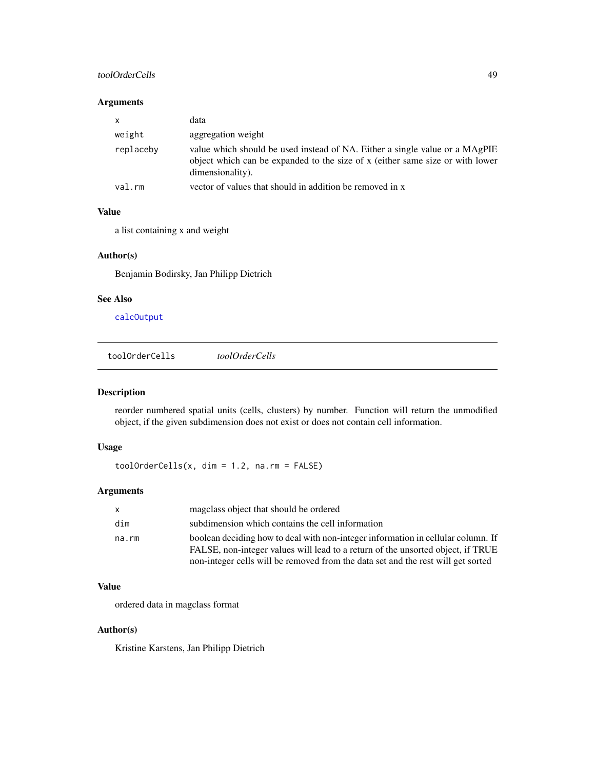## <span id="page-48-0"></span>toolOrderCells 49

#### Arguments

| $\mathsf{x}$ | data                                                                                                                                                                             |
|--------------|----------------------------------------------------------------------------------------------------------------------------------------------------------------------------------|
| weight       | aggregation weight                                                                                                                                                               |
| replaceby    | value which should be used instead of NA. Either a single value or a MAgPIE<br>object which can be expanded to the size of x (either same size or with lower<br>dimensionality). |
| val.rm       | vector of values that should in addition be removed in x                                                                                                                         |

## Value

a list containing x and weight

## Author(s)

Benjamin Bodirsky, Jan Philipp Dietrich

## See Also

[calcOutput](#page-7-1)

toolOrderCells *toolOrderCells*

## Description

reorder numbered spatial units (cells, clusters) by number. Function will return the unmodified object, if the given subdimension does not exist or does not contain cell information.

## Usage

toolOrderCells(x, dim = 1.2, na.rm = FALSE)

## Arguments

| $\mathsf{x}$ | magelass object that should be ordered                                                                                                                              |
|--------------|---------------------------------------------------------------------------------------------------------------------------------------------------------------------|
| dim          | subdimension which contains the cell information                                                                                                                    |
| na.rm        | boolean deciding how to deal with non-integer information in cellular column. If<br>FALSE, non-integer values will lead to a return of the unsorted object, if TRUE |
|              | non-integer cells will be removed from the data set and the rest will get sorted                                                                                    |

## Value

ordered data in magclass format

## Author(s)

Kristine Karstens, Jan Philipp Dietrich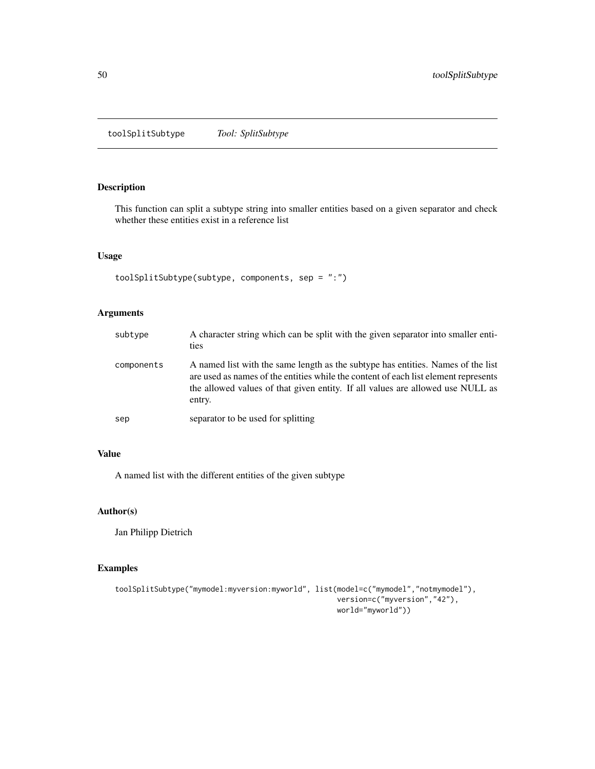<span id="page-49-0"></span>toolSplitSubtype *Tool: SplitSubtype*

## Description

This function can split a subtype string into smaller entities based on a given separator and check whether these entities exist in a reference list

## Usage

```
toolSplitSubtype(subtype, components, sep = ":")
```
## Arguments

| subtype    | A character string which can be split with the given separator into smaller enti-<br>ties                                                                                                                                                                           |
|------------|---------------------------------------------------------------------------------------------------------------------------------------------------------------------------------------------------------------------------------------------------------------------|
| components | A named list with the same length as the subtype has entities. Names of the list<br>are used as names of the entities while the content of each list element represents<br>the allowed values of that given entity. If all values are allowed use NULL as<br>entry. |
| sep        | separator to be used for splitting                                                                                                                                                                                                                                  |

## Value

A named list with the different entities of the given subtype

## Author(s)

Jan Philipp Dietrich

```
toolSplitSubtype("mymodel:myversion:myworld", list(model=c("mymodel","notmymodel"),
                                                   version=c("myversion","42"),
                                                   world="myworld"))
```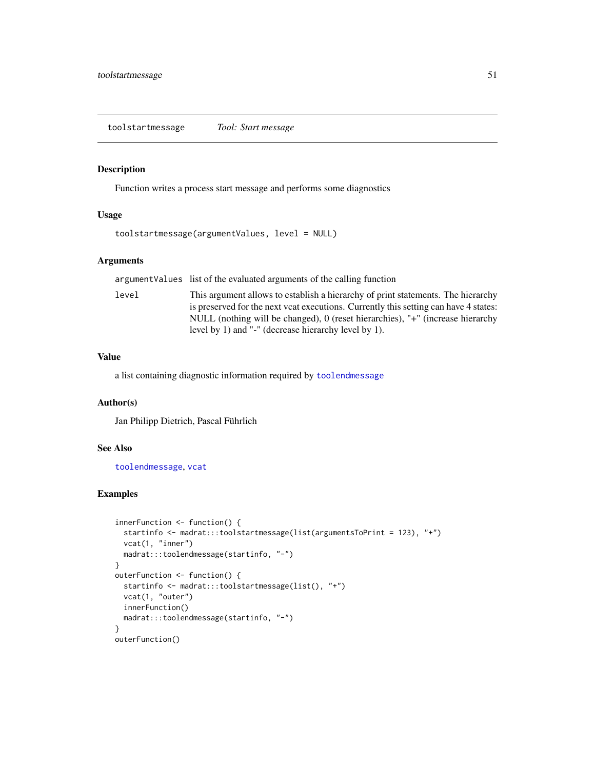<span id="page-50-1"></span><span id="page-50-0"></span>toolstartmessage *Tool: Start message*

#### Description

Function writes a process start message and performs some diagnostics

#### Usage

```
toolstartmessage(argumentValues, level = NULL)
```
#### Arguments

argumentValues list of the evaluated arguments of the calling function

level This argument allows to establish a hierarchy of print statements. The hierarchy is preserved for the next vcat executions. Currently this setting can have 4 states: NULL (nothing will be changed), 0 (reset hierarchies), "+" (increase hierarchy level by 1) and "-" (decrease hierarchy level by 1).

#### Value

a list containing diagnostic information required by [toolendmessage](#page-42-1)

#### Author(s)

Jan Philipp Dietrich, Pascal Führlich

#### See Also

[toolendmessage](#page-42-1), [vcat](#page-54-1)

```
innerFunction <- function() {
 startinfo <- madrat:::toolstartmessage(list(argumentsToPrint = 123), "+")
 vcat(1, "inner")
 madrat:::toolendmessage(startinfo, "-")
}
outerFunction <- function() {
 startinfo <- madrat:::toolstartmessage(list(), "+")
 vcat(1, "outer")
 innerFunction()
 madrat:::toolendmessage(startinfo, "-")
}
outerFunction()
```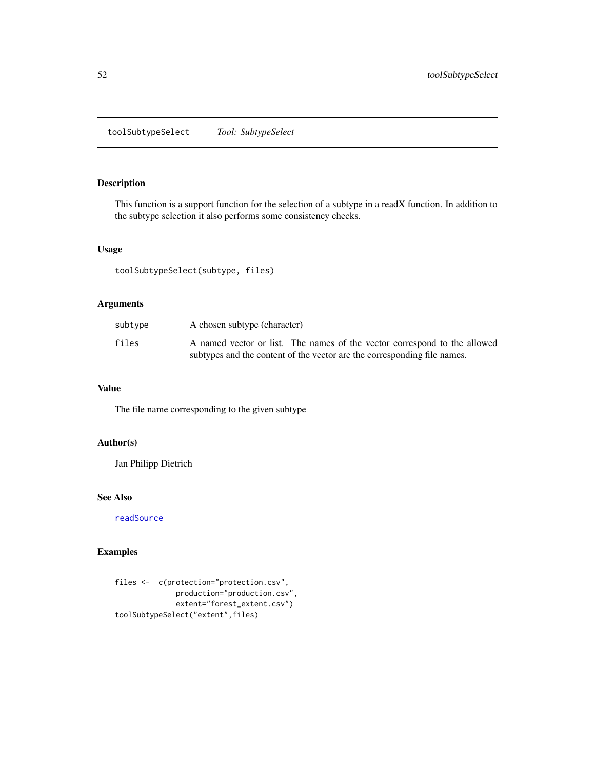<span id="page-51-0"></span>toolSubtypeSelect *Tool: SubtypeSelect*

## Description

This function is a support function for the selection of a subtype in a readX function. In addition to the subtype selection it also performs some consistency checks.

## Usage

toolSubtypeSelect(subtype, files)

## Arguments

| subtype | A chosen subtype (character)                                              |
|---------|---------------------------------------------------------------------------|
| files   | A named vector or list. The names of the vector correspond to the allowed |
|         | subtypes and the content of the vector are the corresponding file names.  |

## Value

The file name corresponding to the given subtype

## Author(s)

Jan Philipp Dietrich

## See Also

[readSource](#page-28-1)

```
files <- c(protection="protection.csv",
             production="production.csv",
             extent="forest_extent.csv")
toolSubtypeSelect("extent",files)
```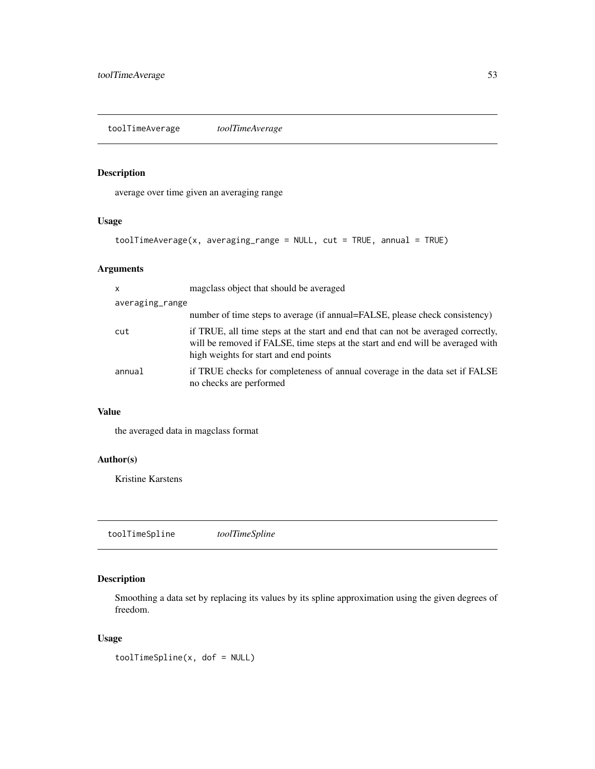<span id="page-52-0"></span>toolTimeAverage *toolTimeAverage*

## Description

average over time given an averaging range

## Usage

toolTimeAverage(x, averaging\_range = NULL, cut = TRUE, annual = TRUE)

## Arguments

| $\mathsf{x}$    | magclass object that should be averaged                                                                                                                                                                      |
|-----------------|--------------------------------------------------------------------------------------------------------------------------------------------------------------------------------------------------------------|
| averaging_range |                                                                                                                                                                                                              |
|                 | number of time steps to average (if annual=FALSE, please check consistency)                                                                                                                                  |
| cut             | if TRUE, all time steps at the start and end that can not be averaged correctly,<br>will be removed if FALSE, time steps at the start and end will be averaged with<br>high weights for start and end points |
| annual          | if TRUE checks for completeness of annual coverage in the data set if FALSE<br>no checks are performed                                                                                                       |

## Value

the averaged data in magclass format

## Author(s)

Kristine Karstens

toolTimeSpline *toolTimeSpline*

## Description

Smoothing a data set by replacing its values by its spline approximation using the given degrees of freedom.

## Usage

toolTimeSpline(x, dof = NULL)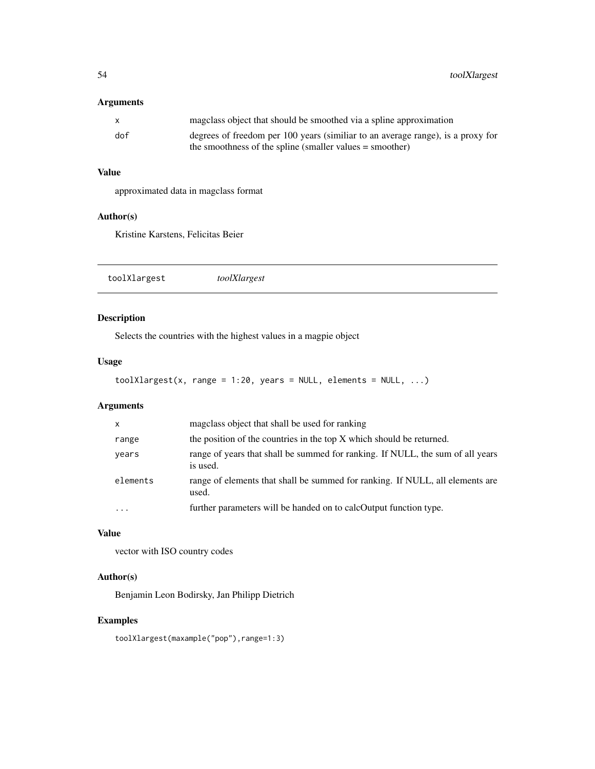<span id="page-53-0"></span>54 toolXlargest

## Arguments

| $\mathbf{x}$ | magclass object that should be smoothed via a spline approximation              |
|--------------|---------------------------------------------------------------------------------|
| dof          | degrees of freedom per 100 years (similiar to an average range), is a proxy for |
|              | the smoothness of the spline (smaller values $=$ smoother)                      |

## Value

approximated data in magclass format

#### Author(s)

Kristine Karstens, Felicitas Beier

toolXlargest *toolXlargest*

## Description

Selects the countries with the highest values in a magpie object

#### Usage

 $to$ olXlargest(x, range = 1:20, years = NULL, elements = NULL, ...)

## Arguments

| $\mathsf{x}$ | magclass object that shall be used for ranking                                             |
|--------------|--------------------------------------------------------------------------------------------|
| range        | the position of the countries in the top X which should be returned.                       |
| years        | range of years that shall be summed for ranking. If NULL, the sum of all years<br>is used. |
| elements     | range of elements that shall be summed for ranking. If NULL, all elements are<br>used.     |
| .            | further parameters will be handed on to calcOutput function type.                          |

#### Value

vector with ISO country codes

## Author(s)

Benjamin Leon Bodirsky, Jan Philipp Dietrich

## Examples

toolXlargest(maxample("pop"),range=1:3)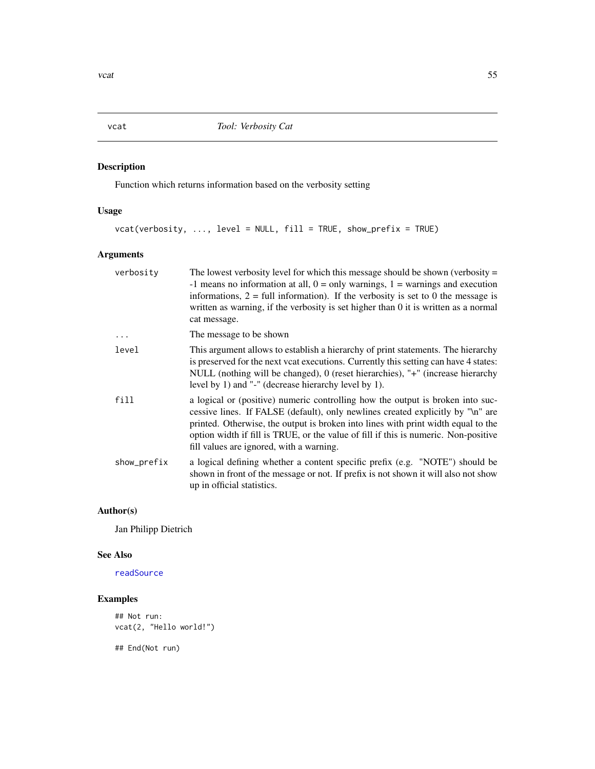<span id="page-54-1"></span><span id="page-54-0"></span>vcat *Tool: Verbosity Cat*

## Description

Function which returns information based on the verbosity setting

## Usage

vcat(verbosity, ..., level = NULL, fill = TRUE, show\_prefix = TRUE)

## Arguments

| The lowest verbosity level for which this message should be shown (verbosity $=$<br>-1 means no information at all, $0 = \text{only warnings}$ , $1 = \text{warnings}$ and execution<br>informations, $2 = \text{full information}$ . If the verbosity is set to 0 the message is<br>written as warning, if the verbosity is set higher than 0 it is written as a normal<br>cat message.  |
|-------------------------------------------------------------------------------------------------------------------------------------------------------------------------------------------------------------------------------------------------------------------------------------------------------------------------------------------------------------------------------------------|
| The message to be shown                                                                                                                                                                                                                                                                                                                                                                   |
| This argument allows to establish a hierarchy of print statements. The hierarchy<br>is preserved for the next vcat executions. Currently this setting can have 4 states:<br>NULL (nothing will be changed), 0 (reset hierarchies), "+" (increase hierarchy<br>level by 1) and "-" (decrease hierarchy level by 1).                                                                        |
| a logical or (positive) numeric controlling how the output is broken into suc-<br>cessive lines. If FALSE (default), only newlines created explicitly by "\n" are<br>printed. Otherwise, the output is broken into lines with print width equal to the<br>option width if fill is TRUE, or the value of fill if this is numeric. Non-positive<br>fill values are ignored, with a warning. |
| a logical defining whether a content specific prefix (e.g. "NOTE") should be<br>shown in front of the message or not. If prefix is not shown it will also not show<br>up in official statistics.                                                                                                                                                                                          |
|                                                                                                                                                                                                                                                                                                                                                                                           |

## Author(s)

Jan Philipp Dietrich

#### See Also

[readSource](#page-28-1)

## Examples

```
## Not run:
vcat(2, "Hello world!")
```
## End(Not run)